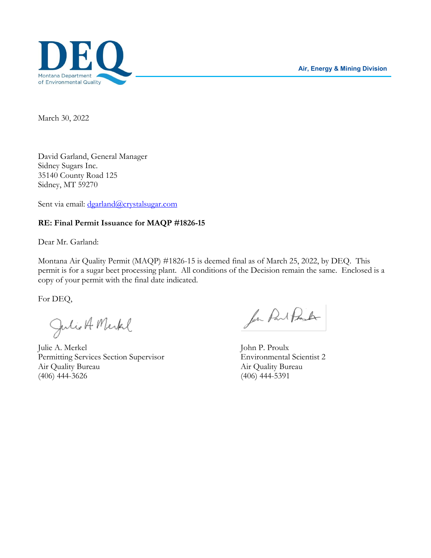**Air, Energy & Mining Division**



March 30, 2022

David Garland, General Manager Sidney Sugars Inc. 35140 County Road 125 Sidney, MT 59270

Sent via email: dgarland@crystalsugar.com

# **RE: Final Permit Issuance for MAQP #1826-15**

Dear Mr. Garland:

Montana Air Quality Permit (MAQP) #1826-15 is deemed final as of March 25, 2022, by DEQ. This permit is for a sugar beet processing plant. All conditions of the Decision remain the same. Enclosed is a copy of your permit with the final date indicated.

For DEQ,

Julio A Merkel

Julie A. Merkel John P. Proulx Permitting Services Section Supervisor Environmental Scientist 2 Air Quality Bureau Air Quality Bureau Air Quality Bureau (406) 444-3626 (406) 444-5391

for Part Proster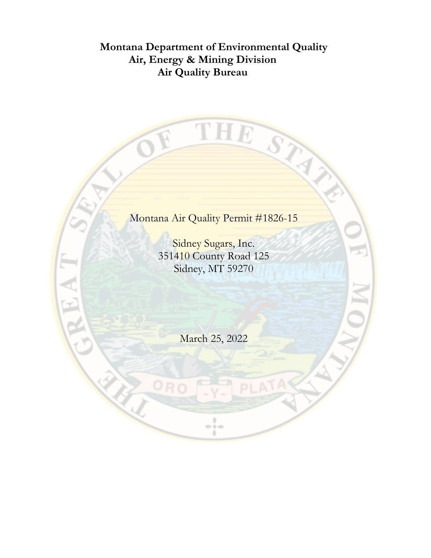# **Montana Department of Environmental Quality Air, Energy & Mining Division Air Quality Bureau**

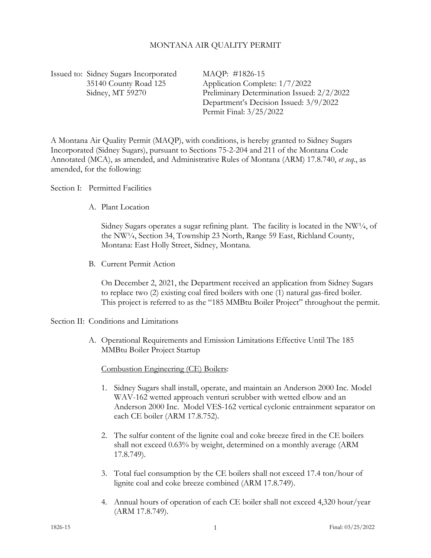### MONTANA AIR QUALITY PERMIT

Issued to: Sidney Sugars Incorporated MAQP: #1826-15

 35140 County Road 125 Application Complete: 1/7/2022 Sidney, MT 59270 Preliminary Determination Issued: 2/2/2022 Department's Decision Issued: 3/9/2022 Permit Final: 3/25/2022

A Montana Air Quality Permit (MAQP), with conditions, is hereby granted to Sidney Sugars Incorporated (Sidney Sugars), pursuant to Sections 75-2-204 and 211 of the Montana Code Annotated (MCA), as amended, and Administrative Rules of Montana (ARM) 17.8.740, *et seq*., as amended, for the following:

Section I: Permitted Facilities

A. Plant Location

Sidney Sugars operates a sugar refining plant. The facility is located in the NW $\frac{1}{4}$ , of the NW¼, Section 34, Township 23 North, Range 59 East, Richland County, Montana: East Holly Street, Sidney, Montana.

B. Current Permit Action

On December 2, 2021, the Department received an application from Sidney Sugars to replace two (2) existing coal fired boilers with one (1) natural gas-fired boiler. This project is referred to as the "185 MMBtu Boiler Project" throughout the permit.

#### Section II: Conditions and Limitations

A. Operational Requirements and Emission Limitations Effective Until The 185 MMBtu Boiler Project Startup

# Combustion Engineering (CE) Boilers:

- 1. Sidney Sugars shall install, operate, and maintain an Anderson 2000 Inc. Model WAV-162 wetted approach venturi scrubber with wetted elbow and an Anderson 2000 Inc. Model VES-162 vertical cyclonic entrainment separator on each CE boiler (ARM 17.8.752).
- 2. The sulfur content of the lignite coal and coke breeze fired in the CE boilers shall not exceed 0.63% by weight, determined on a monthly average (ARM 17.8.749).
- 3. Total fuel consumption by the CE boilers shall not exceed 17.4 ton/hour of lignite coal and coke breeze combined (ARM 17.8.749).
- 4. Annual hours of operation of each CE boiler shall not exceed 4,320 hour/year (ARM 17.8.749).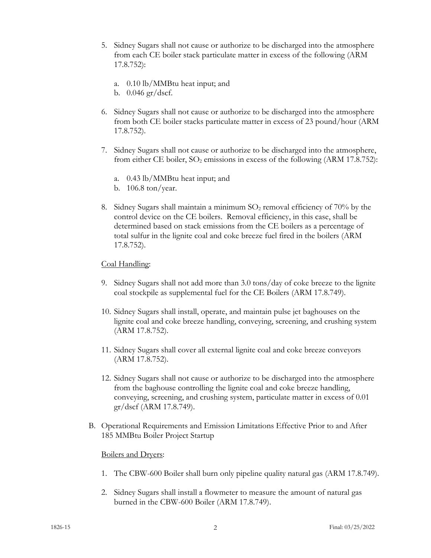- <span id="page-3-0"></span>5. Sidney Sugars shall not cause or authorize to be discharged into the atmosphere from each CE boiler stack particulate matter in excess of the following (ARM 17.8.752):
	- a. 0.10 lb/MMBtu heat input; and
	- b. 0.046 gr/dscf.
- <span id="page-3-1"></span>6. Sidney Sugars shall not cause or authorize to be discharged into the atmosphere from both CE boiler stacks particulate matter in excess of 23 pound/hour (ARM 17.8.752).
- <span id="page-3-2"></span>7. Sidney Sugars shall not cause or authorize to be discharged into the atmosphere, from either CE boiler,  $SO_2$  emissions in excess of the following (ARM 17.8.752):
	- a. 0.43 lb/MMBtu heat input; and
	- b. 106.8 ton/year.
- <span id="page-3-3"></span>8. Sidney Sugars shall maintain a minimum  $SO_2$  removal efficiency of 70% by the control device on the CE boilers. Removal efficiency, in this case, shall be determined based on stack emissions from the CE boilers as a percentage of total sulfur in the lignite coal and coke breeze fuel fired in the boilers (ARM 17.8.752).

# Coal Handling:

- 9. Sidney Sugars shall not add more than 3.0 tons/day of coke breeze to the lignite coal stockpile as supplemental fuel for the CE Boilers (ARM 17.8.749).
- 10. Sidney Sugars shall install, operate, and maintain pulse jet baghouses on the lignite coal and coke breeze handling, conveying, screening, and crushing system (ARM 17.8.752).
- 11. Sidney Sugars shall cover all external lignite coal and coke breeze conveyors (ARM 17.8.752).
- 12. Sidney Sugars shall not cause or authorize to be discharged into the atmosphere from the baghouse controlling the lignite coal and coke breeze handling, conveying, screening, and crushing system, particulate matter in excess of 0.01 gr/dscf (ARM 17.8.749).
- B. Operational Requirements and Emission Limitations Effective Prior to and After 185 MMBtu Boiler Project Startup

# Boilers and Dryers:

- 1. The CBW-600 Boiler shall burn only pipeline quality natural gas (ARM 17.8.749).
- 2. Sidney Sugars shall install a flowmeter to measure the amount of natural gas burned in the CBW-600 Boiler (ARM 17.8.749).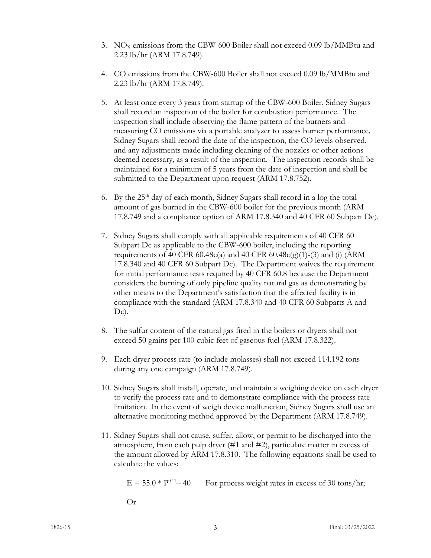- 3. NO<sub>x</sub> emissions from the CBW-600 Boiler shall not exceed 0.09 lb/MMBtu and 2.23 lb/hr (ARM 17.8.749).
- 4. CO emissions from the CBW-600 Boiler shall not exceed 0.09 lb/MMBtu and 2.23 lb/hr (ARM 17.8.749).
- 5. At least once every 3 years from startup of the CBW-600 Boiler, Sidney Sugars shall record an inspection of the boiler for combustion performance. The inspection shall include observing the flame pattern of the burners and measuring CO emissions via a portable analyzer to assess burner performance. Sidney Sugars shall record the date of the inspection, the CO levels observed, and any adjustments made including cleaning of the nozzles or other actions deemed necessary, as a result of the inspection. The inspection records shall be maintained for a minimum of 5 years from the date of inspection and shall be submitted to the Department upon request (ARM 17.8.752).
- 6. By the  $25<sup>th</sup>$  day of each month, Sidney Sugars shall record in a log the total amount of gas burned in the CBW-600 boiler for the previous month (ARM 17.8.749 and a compliance option of ARM 17.8.340 and 40 CFR 60 Subpart Dc).
- 7. Sidney Sugars shall comply with all applicable requirements of 40 CFR 60 Subpart Dc as applicable to the CBW-600 boiler, including the reporting requirements of 40 CFR 60.48c(a) and 40 CFR 60.48c(g)(1)-(3) and (i) (ARM 17.8.340 and 40 CFR 60 Subpart Dc). The Department waives the requirement for initial performance tests required by 40 CFR 60.8 because the Department considers the burning of only pipeline quality natural gas as demonstrating by other means to the Department's satisfaction that the affected facility is in compliance with the standard (ARM 17.8.340 and 40 CFR 60 Subparts A and Dc).
- 8. The sulfur content of the natural gas fired in the boilers or dryers shall not exceed 50 grains per 100 cubic feet of gaseous fuel (ARM 17.8.322).
- 9. Each dryer process rate (to include molasses) shall not exceed 114,192 tons during any one campaign (ARM 17.8.749).
- 10. Sidney Sugars shall install, operate, and maintain a weighing device on each dryer to verify the process rate and to demonstrate compliance with the process rate limitation. In the event of weigh device malfunction, Sidney Sugars shall use an alternative monitoring method approved by the Department (ARM 17.8.749).
- <span id="page-4-0"></span>11. Sidney Sugars shall not cause, suffer, allow, or permit to be discharged into the atmosphere, from each pulp dryer (#1 and #2), particulate matter in excess of the amount allowed by ARM 17.8.310. The following equations shall be used to calculate the values:

 $E = 55.0 * P^{0.11} - 40$  For process weight rates in excess of 30 tons/hr;

Or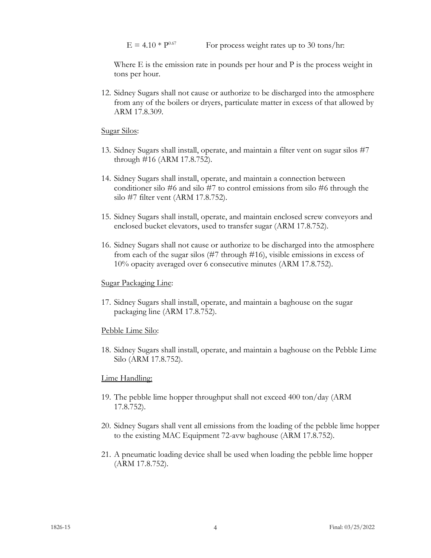$E = 4.10 * P^{0.67}$  For process weight rates up to 30 tons/hr:

Where E is the emission rate in pounds per hour and P is the process weight in tons per hour.

12. Sidney Sugars shall not cause or authorize to be discharged into the atmosphere from any of the boilers or dryers, particulate matter in excess of that allowed by ARM 17.8.309.

Sugar Silos:

- 13. Sidney Sugars shall install, operate, and maintain a filter vent on sugar silos #7 through #16 (ARM 17.8.752).
- 14. Sidney Sugars shall install, operate, and maintain a connection between conditioner silo #6 and silo #7 to control emissions from silo #6 through the silo #7 filter vent (ARM 17.8.752).
- 15. Sidney Sugars shall install, operate, and maintain enclosed screw conveyors and enclosed bucket elevators, used to transfer sugar (ARM 17.8.752).
- 16. Sidney Sugars shall not cause or authorize to be discharged into the atmosphere from each of the sugar silos (#7 through #16), visible emissions in excess of 10% opacity averaged over 6 consecutive minutes (ARM 17.8.752).

#### Sugar Packaging Line:

17. Sidney Sugars shall install, operate, and maintain a baghouse on the sugar packaging line (ARM 17.8.752).

#### Pebble Lime Silo:

18. Sidney Sugars shall install, operate, and maintain a baghouse on the Pebble Lime Silo (ARM 17.8.752).

#### Lime Handling:

- 19. The pebble lime hopper throughput shall not exceed 400 ton/day (ARM 17.8.752).
- 20. Sidney Sugars shall vent all emissions from the loading of the pebble lime hopper to the existing MAC Equipment 72-avw baghouse (ARM 17.8.752).
- 21. A pneumatic loading device shall be used when loading the pebble lime hopper (ARM 17.8.752).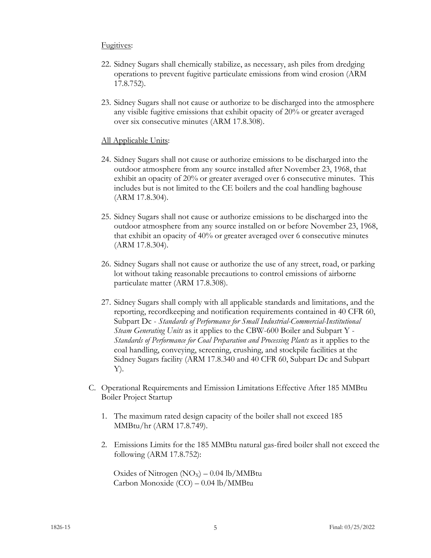### Fugitives:

- 22. Sidney Sugars shall chemically stabilize, as necessary, ash piles from dredging operations to prevent fugitive particulate emissions from wind erosion (ARM 17.8.752).
- 23. Sidney Sugars shall not cause or authorize to be discharged into the atmosphere any visible fugitive emissions that exhibit opacity of 20% or greater averaged over six consecutive minutes (ARM 17.8.308).

# All Applicable Units:

- <span id="page-6-0"></span>24. Sidney Sugars shall not cause or authorize emissions to be discharged into the outdoor atmosphere from any source installed after November 23, 1968, that exhibit an opacity of 20% or greater averaged over 6 consecutive minutes. This includes but is not limited to the CE boilers and the coal handling baghouse (ARM 17.8.304).
- <span id="page-6-1"></span>25. Sidney Sugars shall not cause or authorize emissions to be discharged into the outdoor atmosphere from any source installed on or before November 23, 1968, that exhibit an opacity of 40% or greater averaged over 6 consecutive minutes (ARM 17.8.304).
- 26. Sidney Sugars shall not cause or authorize the use of any street, road, or parking lot without taking reasonable precautions to control emissions of airborne particulate matter (ARM 17.8.308).
- 27. Sidney Sugars shall comply with all applicable standards and limitations, and the reporting, recordkeeping and notification requirements contained in 40 CFR 60, Subpart Dc - *Standards of Performance for Small Industrial-Commercial-Institutional Steam Generating Units* as it applies to the CBW-600 Boiler and Subpart Y - *Standards of Performance for Coal Preparation and Processing Plants* as it applies to the coal handling, conveying, screening, crushing, and stockpile facilities at the Sidney Sugars facility (ARM 17.8.340 and 40 CFR 60, Subpart Dc and Subpart Y).
- <span id="page-6-2"></span>C. Operational Requirements and Emission Limitations Effective After 185 MMBtu Boiler Project Startup
	- 1. The maximum rated design capacity of the boiler shall not exceed 185 MMBtu/hr (ARM 17.8.749).
	- 2. Emissions Limits for the 185 MMBtu natural gas-fired boiler shall not exceed the following (ARM 17.8.752):

Oxides of Nitrogen  $(NO<sub>X</sub>) - 0.04$  lb/MMBtu Carbon Monoxide (CO) – 0.04 lb/MMBtu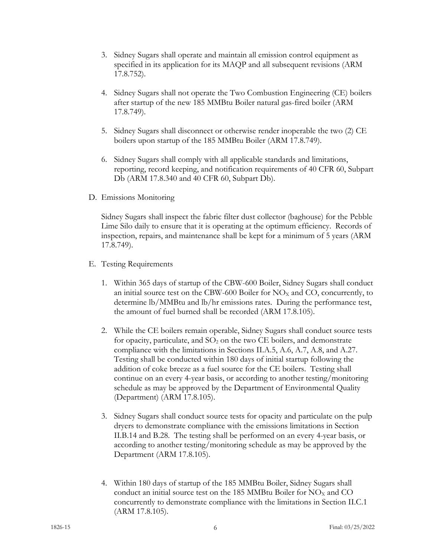- 3. Sidney Sugars shall operate and maintain all emission control equipment as specified in its application for its MAQP and all subsequent revisions (ARM 17.8.752).
- 4. Sidney Sugars shall not operate the Two Combustion Engineering (CE) boilers after startup of the new 185 MMBtu Boiler natural gas-fired boiler (ARM 17.8.749).
- 5. Sidney Sugars shall disconnect or otherwise render inoperable the two (2) CE boilers upon startup of the 185 MMBtu Boiler (ARM 17.8.749).
- 6. Sidney Sugars shall comply with all applicable standards and limitations, reporting, record keeping, and notification requirements of 40 CFR 60, Subpart Db (ARM 17.8.340 and 40 CFR 60, Subpart Db).
- D. Emissions Monitoring

Sidney Sugars shall inspect the fabric filter dust collector (baghouse) for the Pebble Lime Silo daily to ensure that it is operating at the optimum efficiency. Records of inspection, repairs, and maintenance shall be kept for a minimum of 5 years (ARM 17.8.749).

- E. Testing Requirements
	- 1. Within 365 days of startup of the CBW-600 Boiler, Sidney Sugars shall conduct an initial source test on the CBW-600 Boiler for  $NO<sub>x</sub>$  and CO, concurrently, to determine lb/MMBtu and lb/hr emissions rates. During the performance test, the amount of fuel burned shall be recorded (ARM 17.8.105).
	- 2. While the CE boilers remain operable, Sidney Sugars shall conduct source tests for opacity, particulate, and  $SO<sub>2</sub>$  on the two CE boilers, and demonstrate compliance with the limitations in Sections II.A[.5,](#page-3-0) A[.6,](#page-3-1) A[.7,](#page-3-2) A[.8,](#page-3-3) and A[.27.](#page-6-0) Testing shall be conducted within 180 days of initial startup following the addition of coke breeze as a fuel source for the CE boilers. Testing shall continue on an every 4-year basis, or according to another testing/monitoring schedule as may be approved by the Department of Environmental Quality (Department) (ARM 17.8.105).
	- 3. Sidney Sugars shall conduct source tests for opacity and particulate on the pulp dryers to demonstrate compliance with the emissions limitations in Section II.B[.14](#page-4-0) and B[.28.](#page-6-1) The testing shall be performed on an every 4-year basis, or according to another testing/monitoring schedule as may be approved by the Department (ARM 17.8.105).
	- 4. Within 180 days of startup of the 185 MMBtu Boiler, Sidney Sugars shall conduct an initial source test on the 185 MMBtu Boiler for  $NO<sub>X</sub>$  and  $CO$ concurrently to demonstrate compliance with the limitations in Section II.C[.1](#page-6-2) (ARM 17.8.105).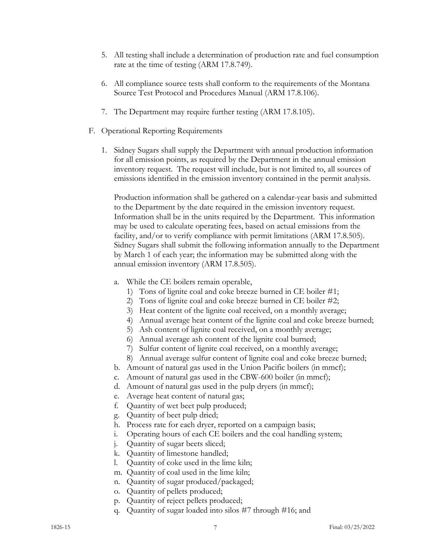- 5. All testing shall include a determination of production rate and fuel consumption rate at the time of testing (ARM 17.8.749).
- 6. All compliance source tests shall conform to the requirements of the Montana Source Test Protocol and Procedures Manual (ARM 17.8.106).
- 7. The Department may require further testing (ARM 17.8.105).
- F. Operational Reporting Requirements
	- 1. Sidney Sugars shall supply the Department with annual production information for all emission points, as required by the Department in the annual emission inventory request. The request will include, but is not limited to, all sources of emissions identified in the emission inventory contained in the permit analysis.

Production information shall be gathered on a calendar-year basis and submitted to the Department by the date required in the emission inventory request. Information shall be in the units required by the Department. This information may be used to calculate operating fees, based on actual emissions from the facility, and/or to verify compliance with permit limitations (ARM 17.8.505). Sidney Sugars shall submit the following information annually to the Department by March 1 of each year; the information may be submitted along with the annual emission inventory (ARM 17.8.505).

- a. While the CE boilers remain operable,
	- 1) Tons of lignite coal and coke breeze burned in CE boiler #1;
	- 2) Tons of lignite coal and coke breeze burned in CE boiler #2;
	- 3) Heat content of the lignite coal received, on a monthly average;
	- 4) Annual average heat content of the lignite coal and coke breeze burned;
	- 5) Ash content of lignite coal received, on a monthly average;
	- 6) Annual average ash content of the lignite coal burned;
	- 7) Sulfur content of lignite coal received, on a monthly average;
	- 8) Annual average sulfur content of lignite coal and coke breeze burned;
- b. Amount of natural gas used in the Union Pacific boilers (in mmcf);
- c. Amount of natural gas used in the CBW-600 boiler (in mmcf);
- d. Amount of natural gas used in the pulp dryers (in mmcf);
- e. Average heat content of natural gas;
- f. Quantity of wet beet pulp produced;
- g. Quantity of beet pulp dried;
- h. Process rate for each dryer, reported on a campaign basis;
- i. Operating hours of each CE boilers and the coal handling system;
- j. Quantity of sugar beets sliced;
- k. Quantity of limestone handled;
- l. Quantity of coke used in the lime kiln;
- m. Quantity of coal used in the lime kiln;
- n. Quantity of sugar produced/packaged;
- o. Quantity of pellets produced;
- p. Quantity of reject pellets produced;
- q. Quantity of sugar loaded into silos #7 through #16; and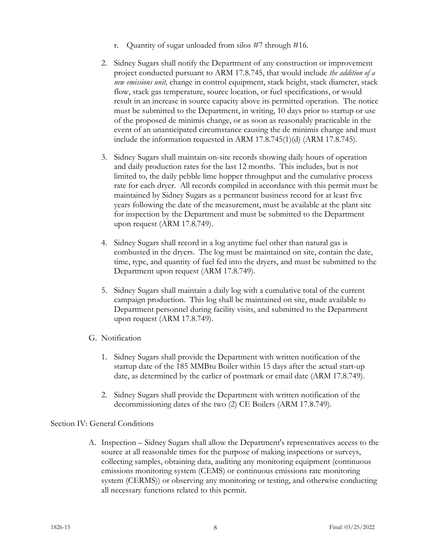- r. Quantity of sugar unloaded from silos #7 through #16.
- 2. Sidney Sugars shall notify the Department of any construction or improvement project conducted pursuant to ARM 17.8.745, that would include *the addition of a new emissions unit,* change in control equipment, stack height, stack diameter, stack flow, stack gas temperature, source location, or fuel specifications, or would result in an increase in source capacity above its permitted operation. The notice must be submitted to the Department, in writing, 10 days prior to startup or use of the proposed de minimis change, or as soon as reasonably practicable in the event of an unanticipated circumstance causing the de minimis change and must include the information requested in ARM 17.8.745(1)(d) (ARM 17.8.745).
- 3. Sidney Sugars shall maintain on-site records showing daily hours of operation and daily production rates for the last 12 months. This includes, but is not limited to, the daily pebble lime hopper throughput and the cumulative process rate for each dryer. All records compiled in accordance with this permit must be maintained by Sidney Sugars as a permanent business record for at least five years following the date of the measurement, must be available at the plant site for inspection by the Department and must be submitted to the Department upon request (ARM 17.8.749).
- 4. Sidney Sugars shall record in a log anytime fuel other than natural gas is combusted in the dryers. The log must be maintained on site, contain the date, time, type, and quantity of fuel fed into the dryers, and must be submitted to the Department upon request (ARM 17.8.749).
- 5. Sidney Sugars shall maintain a daily log with a cumulative total of the current campaign production. This log shall be maintained on site, made available to Department personnel during facility visits, and submitted to the Department upon request (ARM 17.8.749).
- G. Notification
	- 1. Sidney Sugars shall provide the Department with written notification of the startup date of the 185 MMBtu Boiler within 15 days after the actual start-up date, as determined by the earlier of postmark or email date (ARM 17.8.749).
	- 2. Sidney Sugars shall provide the Department with written notification of the decommissioning dates of the two (2) CE Boilers (ARM 17.8.749).

# Section IV: General Conditions

A. Inspection – Sidney Sugars shall allow the Department's representatives access to the source at all reasonable times for the purpose of making inspections or surveys, collecting samples, obtaining data, auditing any monitoring equipment (continuous emissions monitoring system (CEMS) or continuous emissions rate monitoring system (CERMS)) or observing any monitoring or testing, and otherwise conducting all necessary functions related to this permit.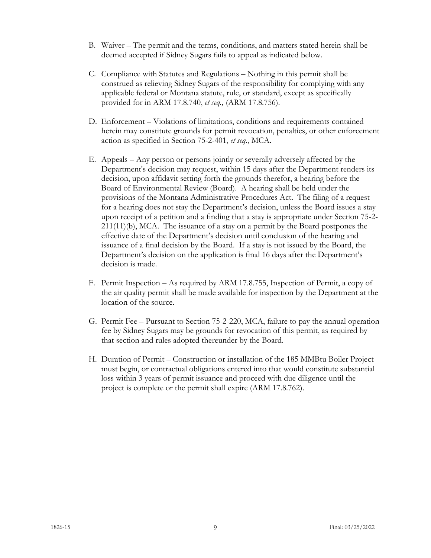- B. Waiver The permit and the terms, conditions, and matters stated herein shall be deemed accepted if Sidney Sugars fails to appeal as indicated below.
- C. Compliance with Statutes and Regulations Nothing in this permit shall be construed as relieving Sidney Sugars of the responsibility for complying with any applicable federal or Montana statute, rule, or standard, except as specifically provided for in ARM 17.8.740, *et seq.,* (ARM 17.8.756).
- D. Enforcement Violations of limitations, conditions and requirements contained herein may constitute grounds for permit revocation, penalties, or other enforcement action as specified in Section 75-2-401, *et seq.*, MCA.
- E. Appeals Any person or persons jointly or severally adversely affected by the Department's decision may request, within 15 days after the Department renders its decision, upon affidavit setting forth the grounds therefor, a hearing before the Board of Environmental Review (Board). A hearing shall be held under the provisions of the Montana Administrative Procedures Act. The filing of a request for a hearing does not stay the Department's decision, unless the Board issues a stay upon receipt of a petition and a finding that a stay is appropriate under Section 75-2- 211(11)(b), MCA. The issuance of a stay on a permit by the Board postpones the effective date of the Department's decision until conclusion of the hearing and issuance of a final decision by the Board. If a stay is not issued by the Board, the Department's decision on the application is final 16 days after the Department's decision is made.
- F. Permit Inspection As required by ARM 17.8.755, Inspection of Permit, a copy of the air quality permit shall be made available for inspection by the Department at the location of the source.
- G. Permit Fee Pursuant to Section 75-2-220, MCA, failure to pay the annual operation fee by Sidney Sugars may be grounds for revocation of this permit, as required by that section and rules adopted thereunder by the Board.
- H. Duration of Permit Construction or installation of the 185 MMBtu Boiler Project must begin, or contractual obligations entered into that would constitute substantial loss within 3 years of permit issuance and proceed with due diligence until the project is complete or the permit shall expire (ARM 17.8.762).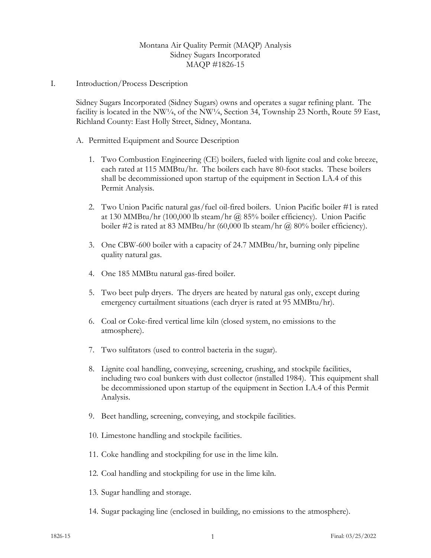# Montana Air Quality Permit (MAQP) Analysis Sidney Sugars Incorporated MAQP #1826-15

I. Introduction/Process Description

Sidney Sugars Incorporated (Sidney Sugars) owns and operates a sugar refining plant. The facility is located in the NW<sup>1</sup>/4, of the NW<sup>1</sup>/4, Section 34, Township 23 North, Route 59 East, Richland County: East Holly Street, Sidney, Montana.

- <span id="page-11-0"></span>A. Permitted Equipment and Source Description
	- 1. Two Combustion Engineering (CE) boilers, fueled with lignite coal and coke breeze, each rated at 115 MMBtu/hr. The boilers each have 80-foot stacks. These boilers shall be decommissioned upon startup of the equipment in Section I.[A.4](#page-11-0) of this Permit Analysis.
	- 2. Two Union Pacific natural gas/fuel oil-fired boilers. Union Pacific boiler #1 is rated at 130 MMBtu/hr (100,000 lb steam/hr @ 85% boiler efficiency). Union Pacific boiler #2 is rated at 83 MMBtu/hr (60,000 lb steam/hr  $\omega$  80% boiler efficiency).
	- 3. One CBW-600 boiler with a capacity of 24.7 MMBtu/hr, burning only pipeline quality natural gas.
	- 4. One 185 MMBtu natural gas-fired boiler.
	- 5. Two beet pulp dryers. The dryers are heated by natural gas only, except during emergency curtailment situations (each dryer is rated at 95 MMBtu/hr).
	- 6. Coal or Coke-fired vertical lime kiln (closed system, no emissions to the atmosphere).
	- 7. Two sulfitators (used to control bacteria in the sugar).
	- 8. Lignite coal handling, conveying, screening, crushing, and stockpile facilities, including two coal bunkers with dust collector (installed 1984). This equipment shall be decommissioned upon startup of the equipment in Section I.[A.4](#page-11-0) of this Permit Analysis.
	- 9. Beet handling, screening, conveying, and stockpile facilities.
	- 10. Limestone handling and stockpile facilities.
	- 11. Coke handling and stockpiling for use in the lime kiln.
	- 12. Coal handling and stockpiling for use in the lime kiln.
	- 13. Sugar handling and storage.
	- 14. Sugar packaging line (enclosed in building, no emissions to the atmosphere).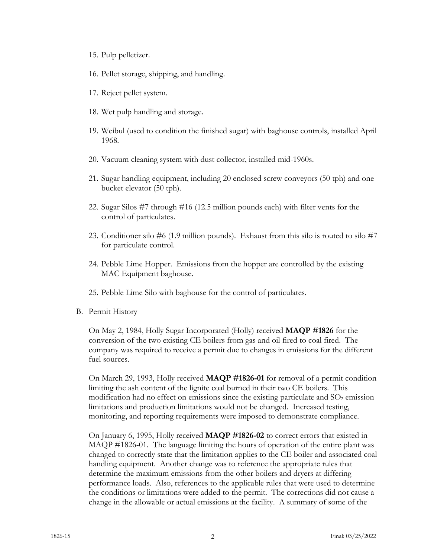- 15. Pulp pelletizer.
- 16. Pellet storage, shipping, and handling.
- 17. Reject pellet system.
- 18. Wet pulp handling and storage.
- 19. Weibul (used to condition the finished sugar) with baghouse controls, installed April 1968.
- 20. Vacuum cleaning system with dust collector, installed mid-1960s.
- 21. Sugar handling equipment, including 20 enclosed screw conveyors (50 tph) and one bucket elevator (50 tph).
- 22. Sugar Silos #7 through #16 (12.5 million pounds each) with filter vents for the control of particulates.
- 23. Conditioner silo #6 (1.9 million pounds). Exhaust from this silo is routed to silo #7 for particulate control.
- 24. Pebble Lime Hopper. Emissions from the hopper are controlled by the existing MAC Equipment baghouse.
- 25. Pebble Lime Silo with baghouse for the control of particulates.
- B. Permit History

On May 2, 1984, Holly Sugar Incorporated (Holly) received **MAQP #1826** for the conversion of the two existing CE boilers from gas and oil fired to coal fired. The company was required to receive a permit due to changes in emissions for the different fuel sources.

On March 29, 1993, Holly received **MAQP #1826-01** for removal of a permit condition limiting the ash content of the lignite coal burned in their two CE boilers. This modification had no effect on emissions since the existing particulate and  $SO<sub>2</sub>$  emission limitations and production limitations would not be changed. Increased testing, monitoring, and reporting requirements were imposed to demonstrate compliance.

On January 6, 1995, Holly received **MAQP #1826-02** to correct errors that existed in MAQP #1826-01. The language limiting the hours of operation of the entire plant was changed to correctly state that the limitation applies to the CE boiler and associated coal handling equipment. Another change was to reference the appropriate rules that determine the maximum emissions from the other boilers and dryers at differing performance loads. Also, references to the applicable rules that were used to determine the conditions or limitations were added to the permit. The corrections did not cause a change in the allowable or actual emissions at the facility. A summary of some of the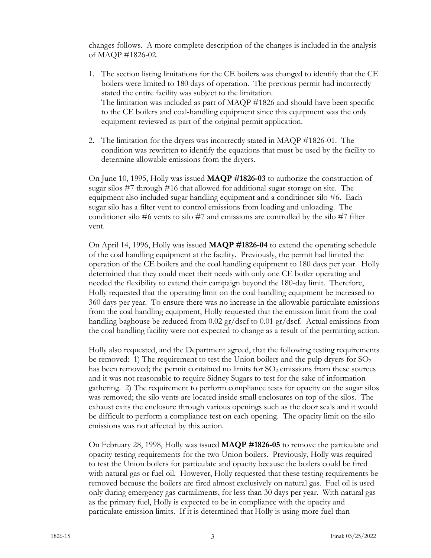changes follows. A more complete description of the changes is included in the analysis of MAQP #1826-02.

- 1. The section listing limitations for the CE boilers was changed to identify that the CE boilers were limited to 180 days of operation. The previous permit had incorrectly stated the entire facility was subject to the limitation. The limitation was included as part of MAQP #1826 and should have been specific to the CE boilers and coal-handling equipment since this equipment was the only equipment reviewed as part of the original permit application.
- 2. The limitation for the dryers was incorrectly stated in MAQP #1826-01. The condition was rewritten to identify the equations that must be used by the facility to determine allowable emissions from the dryers.

On June 10, 1995, Holly was issued **MAQP #1826-03** to authorize the construction of sugar silos #7 through #16 that allowed for additional sugar storage on site. The equipment also included sugar handling equipment and a conditioner silo #6. Each sugar silo has a filter vent to control emissions from loading and unloading. The conditioner silo #6 vents to silo #7 and emissions are controlled by the silo #7 filter vent.

On April 14, 1996, Holly was issued **MAQP #1826-04** to extend the operating schedule of the coal handling equipment at the facility. Previously, the permit had limited the operation of the CE boilers and the coal handling equipment to 180 days per year. Holly determined that they could meet their needs with only one CE boiler operating and needed the flexibility to extend their campaign beyond the 180-day limit. Therefore, Holly requested that the operating limit on the coal handling equipment be increased to 360 days per year. To ensure there was no increase in the allowable particulate emissions from the coal handling equipment, Holly requested that the emission limit from the coal handling baghouse be reduced from 0.02 gr/dscf to 0.01 gr/dscf. Actual emissions from the coal handling facility were not expected to change as a result of the permitting action.

Holly also requested, and the Department agreed, that the following testing requirements be removed: 1) The requirement to test the Union boilers and the pulp dryers for  $SO<sub>2</sub>$ has been removed; the permit contained no limits for  $SO_2$  emissions from these sources and it was not reasonable to require Sidney Sugars to test for the sake of information gathering. 2) The requirement to perform compliance tests for opacity on the sugar silos was removed; the silo vents are located inside small enclosures on top of the silos. The exhaust exits the enclosure through various openings such as the door seals and it would be difficult to perform a compliance test on each opening. The opacity limit on the silo emissions was not affected by this action.

On February 28, 1998, Holly was issued **MAQP #1826-05** to remove the particulate and opacity testing requirements for the two Union boilers. Previously, Holly was required to test the Union boilers for particulate and opacity because the boilers could be fired with natural gas or fuel oil. However, Holly requested that these testing requirements be removed because the boilers are fired almost exclusively on natural gas. Fuel oil is used only during emergency gas curtailments, for less than 30 days per year. With natural gas as the primary fuel, Holly is expected to be in compliance with the opacity and particulate emission limits. If it is determined that Holly is using more fuel than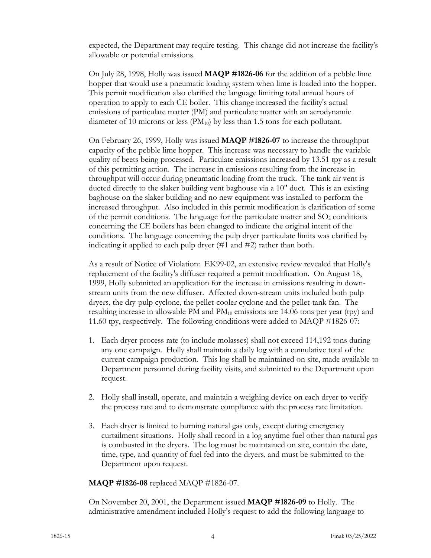expected, the Department may require testing. This change did not increase the facility's allowable or potential emissions.

On July 28, 1998, Holly was issued **MAQP #1826-06** for the addition of a pebble lime hopper that would use a pneumatic loading system when lime is loaded into the hopper. This permit modification also clarified the language limiting total annual hours of operation to apply to each CE boiler. This change increased the facility's actual emissions of particulate matter (PM) and particulate matter with an aerodynamic diameter of 10 microns or less  $(PM_{10})$  by less than 1.5 tons for each pollutant.

On February 26, 1999, Holly was issued **MAQP #1826-07** to increase the throughput capacity of the pebble lime hopper. This increase was necessary to handle the variable quality of beets being processed. Particulate emissions increased by 13.51 tpy as a result of this permitting action. The increase in emissions resulting from the increase in throughput will occur during pneumatic loading from the truck. The tank air vent is ducted directly to the slaker building vent baghouse via a 10" duct. This is an existing baghouse on the slaker building and no new equipment was installed to perform the increased throughput. Also included in this permit modification is clarification of some of the permit conditions. The language for the particulate matter and  $SO_2$  conditions concerning the CE boilers has been changed to indicate the original intent of the conditions. The language concerning the pulp dryer particulate limits was clarified by indicating it applied to each pulp dryer (#1 and #2) rather than both.

As a result of Notice of Violation: EK99-02, an extensive review revealed that Holly's replacement of the facility's diffuser required a permit modification. On August 18, 1999, Holly submitted an application for the increase in emissions resulting in downstream units from the new diffuser. Affected down-stream units included both pulp dryers, the dry-pulp cyclone, the pellet-cooler cyclone and the pellet-tank fan. The resulting increase in allowable PM and  $PM_{10}$  emissions are 14.06 tons per year (tpy) and 11.60 tpy, respectively. The following conditions were added to MAQP #1826-07:

- 1. Each dryer process rate (to include molasses) shall not exceed 114,192 tons during any one campaign. Holly shall maintain a daily log with a cumulative total of the current campaign production. This log shall be maintained on site, made available to Department personnel during facility visits, and submitted to the Department upon request.
- 2. Holly shall install, operate, and maintain a weighing device on each dryer to verify the process rate and to demonstrate compliance with the process rate limitation.
- 3. Each dryer is limited to burning natural gas only, except during emergency curtailment situations. Holly shall record in a log anytime fuel other than natural gas is combusted in the dryers. The log must be maintained on site, contain the date, time, type, and quantity of fuel fed into the dryers, and must be submitted to the Department upon request.

# **MAQP #1826-08** replaced MAQP #1826-07.

On November 20, 2001, the Department issued **MAQP #1826-09** to Holly. The administrative amendment included Holly's request to add the following language to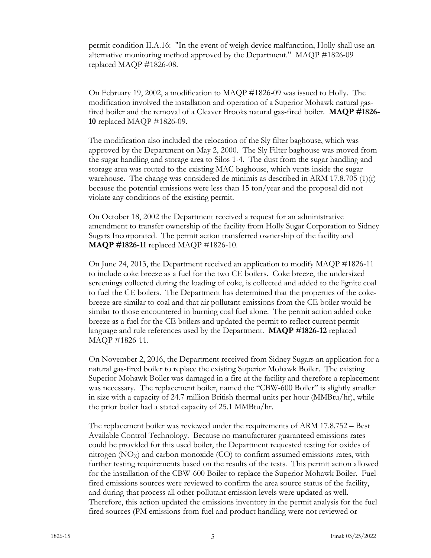permit condition II.A.16: "In the event of weigh device malfunction, Holly shall use an alternative monitoring method approved by the Department." MAQP #1826-09 replaced MAQP #1826-08.

On February 19, 2002, a modification to MAQP #1826-09 was issued to Holly. The modification involved the installation and operation of a Superior Mohawk natural gasfired boiler and the removal of a Cleaver Brooks natural gas-fired boiler. **MAQP #1826- 10** replaced MAQP #1826-09.

The modification also included the relocation of the Sly filter baghouse, which was approved by the Department on May 2, 2000. The Sly Filter baghouse was moved from the sugar handling and storage area to Silos 1-4. The dust from the sugar handling and storage area was routed to the existing MAC baghouse, which vents inside the sugar warehouse. The change was considered de minimis as described in ARM 17.8.705 (1)(r) because the potential emissions were less than 15 ton/year and the proposal did not violate any conditions of the existing permit.

On October 18, 2002 the Department received a request for an administrative amendment to transfer ownership of the facility from Holly Sugar Corporation to Sidney Sugars Incorporated. The permit action transferred ownership of the facility and **MAQP #1826-11** replaced MAQP #1826-10.

On June 24, 2013, the Department received an application to modify MAQP #1826-11 to include coke breeze as a fuel for the two CE boilers. Coke breeze, the undersized screenings collected during the loading of coke, is collected and added to the lignite coal to fuel the CE boilers. The Department has determined that the properties of the cokebreeze are similar to coal and that air pollutant emissions from the CE boiler would be similar to those encountered in burning coal fuel alone. The permit action added coke breeze as a fuel for the CE boilers and updated the permit to reflect current permit language and rule references used by the Department. **MAQP #1826-12** replaced MAQP #1826-11.

On November 2, 2016, the Department received from Sidney Sugars an application for a natural gas-fired boiler to replace the existing Superior Mohawk Boiler. The existing Superior Mohawk Boiler was damaged in a fire at the facility and therefore a replacement was necessary. The replacement boiler, named the "CBW-600 Boiler" is slightly smaller in size with a capacity of 24.7 million British thermal units per hour (MMBtu/hr), while the prior boiler had a stated capacity of 25.1 MMBtu/hr.

The replacement boiler was reviewed under the requirements of ARM 17.8.752 – Best Available Control Technology. Because no manufacturer guaranteed emissions rates could be provided for this used boiler, the Department requested testing for oxides of nitrogen  $(NO<sub>x</sub>)$  and carbon monoxide  $(CO)$  to confirm assumed emissions rates, with further testing requirements based on the results of the tests. This permit action allowed for the installation of the CBW-600 Boiler to replace the Superior Mohawk Boiler. Fuelfired emissions sources were reviewed to confirm the area source status of the facility, and during that process all other pollutant emission levels were updated as well. Therefore, this action updated the emissions inventory in the permit analysis for the fuel fired sources (PM emissions from fuel and product handling were not reviewed or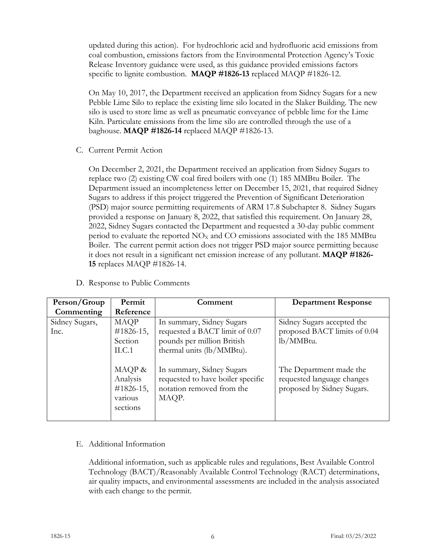updated during this action). For hydrochloric acid and hydrofluoric acid emissions from coal combustion, emissions factors from the Environmental Protection Agency's Toxic Release Inventory guidance were used, as this guidance provided emissions factors specific to lignite combustion. **MAQP #1826-13** replaced MAQP #1826-12.

On May 10, 2017, the Department received an application from Sidney Sugars for a new Pebble Lime Silo to replace the existing lime silo located in the Slaker Building. The new silo is used to store lime as well as pneumatic conveyance of pebble lime for the Lime Kiln. Particulate emissions from the lime silo are controlled through the use of a baghouse. **MAQP #1826-14** replaced MAQP #1826-13.

C. Current Permit Action

On December 2, 2021, the Department received an application from Sidney Sugars to replace two (2) existing CW coal fired boilers with one (1) 185 MMBtu Boiler. The Department issued an incompleteness letter on December 15, 2021, that required Sidney Sugars to address if this project triggered the Prevention of Significant Deterioration (PSD) major source permitting requirements of ARM 17.8 Subchapter 8. Sidney Sugars provided a response on January 8, 2022, that satisfied this requirement. On January 28, 2022, Sidney Sugars contacted the Department and requested a 30-day public comment period to evaluate the reported  $NO<sub>x</sub>$  and CO emissions associated with the 185 MMBtu Boiler. The current permit action does not trigger PSD major source permitting because it does not result in a significant net emission increase of any pollutant. **MAQP #1826- 15** replaces MAQP #1826-14.

|  | D. Response to Public Comments |  |  |
|--|--------------------------------|--|--|
|--|--------------------------------|--|--|

| Person/Group           | Permit                                                     | Comment                                                                                                                | <b>Department Response</b>                                                          |
|------------------------|------------------------------------------------------------|------------------------------------------------------------------------------------------------------------------------|-------------------------------------------------------------------------------------|
| Commenting             | Reference                                                  |                                                                                                                        |                                                                                     |
| Sidney Sugars,<br>Inc. | <b>MAQP</b><br>$\#1826-15$ ,<br>Section<br>ILC.1           | In summary, Sidney Sugars<br>requested a BACT limit of 0.07<br>pounds per million British<br>thermal units (lb/MMBtu). | Sidney Sugars accepted the<br>proposed BACT limits of 0.04<br>lb/MMBtu.             |
|                        | MAQP &<br>Analysis<br>$\#1826-15$ ,<br>various<br>sections | In summary, Sidney Sugars<br>requested to have boiler specific<br>notation removed from the<br>MAQP.                   | The Department made the<br>requested language changes<br>proposed by Sidney Sugars. |

# E. Additional Information

Additional information, such as applicable rules and regulations, Best Available Control Technology (BACT)/Reasonably Available Control Technology (RACT) determinations, air quality impacts, and environmental assessments are included in the analysis associated with each change to the permit.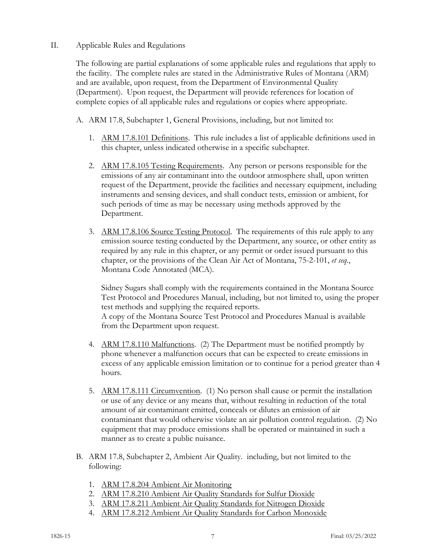# II. Applicable Rules and Regulations

The following are partial explanations of some applicable rules and regulations that apply to the facility. The complete rules are stated in the Administrative Rules of Montana (ARM) and are available, upon request, from the Department of Environmental Quality (Department). Upon request, the Department will provide references for location of complete copies of all applicable rules and regulations or copies where appropriate.

- A. ARM 17.8, Subchapter 1, General Provisions, including, but not limited to:
	- 1. ARM 17.8.101 Definitions. This rule includes a list of applicable definitions used in this chapter, unless indicated otherwise in a specific subchapter.
	- 2. ARM 17.8.105 Testing Requirements. Any person or persons responsible for the emissions of any air contaminant into the outdoor atmosphere shall, upon written request of the Department, provide the facilities and necessary equipment, including instruments and sensing devices, and shall conduct tests, emission or ambient, for such periods of time as may be necessary using methods approved by the Department.
	- 3. ARM 17.8.106 Source Testing Protocol. The requirements of this rule apply to any emission source testing conducted by the Department, any source, or other entity as required by any rule in this chapter, or any permit or order issued pursuant to this chapter, or the provisions of the Clean Air Act of Montana, 75-2-101, *et seq.*, Montana Code Annotated (MCA).

Sidney Sugars shall comply with the requirements contained in the Montana Source Test Protocol and Procedures Manual, including, but not limited to, using the proper test methods and supplying the required reports. A copy of the Montana Source Test Protocol and Procedures Manual is available from the Department upon request.

- 4. ARM 17.8.110 Malfunctions. (2) The Department must be notified promptly by phone whenever a malfunction occurs that can be expected to create emissions in excess of any applicable emission limitation or to continue for a period greater than 4 hours.
- 5. ARM 17.8.111 Circumvention. (1) No person shall cause or permit the installation or use of any device or any means that, without resulting in reduction of the total amount of air contaminant emitted, conceals or dilutes an emission of air contaminant that would otherwise violate an air pollution control regulation. (2) No equipment that may produce emissions shall be operated or maintained in such a manner as to create a public nuisance.
- B. ARM 17.8, Subchapter 2, Ambient Air Quality. including, but not limited to the following:
	- 1. ARM 17.8.204 Ambient Air Monitoring
	- 2. ARM 17.8.210 Ambient Air Quality Standards for Sulfur Dioxide
	- 3. ARM 17.8.211 Ambient Air Quality Standards for Nitrogen Dioxide
	- 4. ARM 17.8.212 Ambient Air Quality Standards for Carbon Monoxide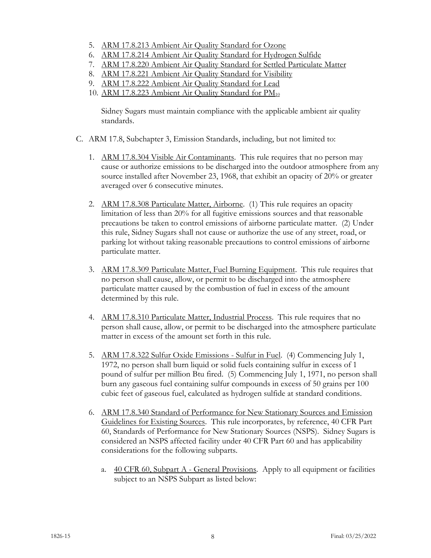- 5. ARM 17.8.213 Ambient Air Quality Standard for Ozone
- 6. ARM 17.8.214 Ambient Air Quality Standard for Hydrogen Sulfide
- 7. ARM 17.8.220 Ambient Air Quality Standard for Settled Particulate Matter
- 8. ARM 17.8.221 Ambient Air Quality Standard for Visibility
- 9. ARM 17.8.222 Ambient Air Quality Standard for Lead
- 10. ARM 17.8.223 Ambient Air Quality Standard for PM<sub>10</sub>

Sidney Sugars must maintain compliance with the applicable ambient air quality standards.

- C. ARM 17.8, Subchapter 3, Emission Standards, including, but not limited to:
	- 1. ARM 17.8.304 Visible Air Contaminants. This rule requires that no person may cause or authorize emissions to be discharged into the outdoor atmosphere from any source installed after November 23, 1968, that exhibit an opacity of 20% or greater averaged over 6 consecutive minutes.
	- 2. ARM 17.8.308 Particulate Matter, Airborne. (1) This rule requires an opacity limitation of less than 20% for all fugitive emissions sources and that reasonable precautions be taken to control emissions of airborne particulate matter. (2) Under this rule, Sidney Sugars shall not cause or authorize the use of any street, road, or parking lot without taking reasonable precautions to control emissions of airborne particulate matter.
	- 3. ARM 17.8.309 Particulate Matter, Fuel Burning Equipment. This rule requires that no person shall cause, allow, or permit to be discharged into the atmosphere particulate matter caused by the combustion of fuel in excess of the amount determined by this rule.
	- 4. ARM 17.8.310 Particulate Matter, Industrial Process. This rule requires that no person shall cause, allow, or permit to be discharged into the atmosphere particulate matter in excess of the amount set forth in this rule.
	- 5. ARM 17.8.322 Sulfur Oxide Emissions Sulfur in Fuel. (4) Commencing July 1, 1972, no person shall burn liquid or solid fuels containing sulfur in excess of 1 pound of sulfur per million Btu fired. (5) Commencing July 1, 1971, no person shall burn any gaseous fuel containing sulfur compounds in excess of 50 grains per 100 cubic feet of gaseous fuel, calculated as hydrogen sulfide at standard conditions.
	- 6. ARM 17.8.340 Standard of Performance for New Stationary Sources and Emission Guidelines for Existing Sources. This rule incorporates, by reference, 40 CFR Part 60, Standards of Performance for New Stationary Sources (NSPS). Sidney Sugars is considered an NSPS affected facility under 40 CFR Part 60 and has applicability considerations for the following subparts.
		- a. 40 CFR 60, Subpart A General Provisions. Apply to all equipment or facilities subject to an NSPS Subpart as listed below: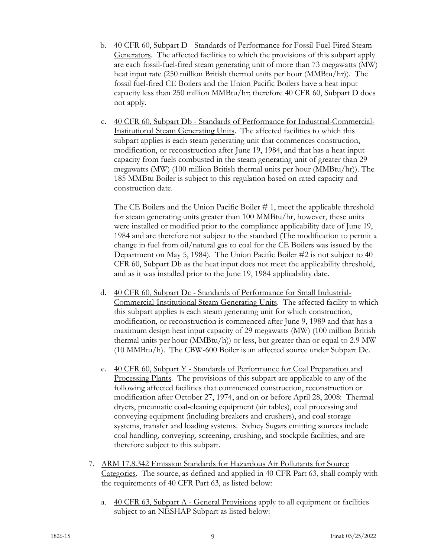- b. 40 CFR 60, Subpart D Standards of Performance for Fossil-Fuel-Fired Steam Generators. The affected facilities to which the provisions of this subpart apply are each fossil-fuel-fired steam generating unit of more than 73 megawatts (MW) heat input rate (250 million British thermal units per hour (MMBtu/hr)). The fossil fuel-fired CE Boilers and the Union Pacific Boilers have a heat input capacity less than 250 million MMBtu/hr; therefore 40 CFR 60, Subpart D does not apply.
- c. 40 CFR 60, Subpart Db Standards of Performance for Industrial-Commercial-Institutional Steam Generating Units. The affected facilities to which this subpart applies is each steam generating unit that commences construction, modification, or reconstruction after June 19, 1984, and that has a heat input capacity from fuels combusted in the steam generating unit of greater than 29 megawatts (MW) (100 million British thermal units per hour (MMBtu/hr)). The 185 MMBtu Boiler is subject to this regulation based on rated capacity and construction date.

The CE Boilers and the Union Pacific Boiler # 1, meet the applicable threshold for steam generating units greater than 100 MMBtu/hr, however, these units were installed or modified prior to the compliance applicability date of June 19, 1984 and are therefore not subject to the standard (The modification to permit a change in fuel from oil/natural gas to coal for the CE Boilers was issued by the Department on May 5, 1984). The Union Pacific Boiler #2 is not subject to 40 CFR 60, Subpart Db as the heat input does not meet the applicability threshold, and as it was installed prior to the June 19, 1984 applicability date.

- d. 40 CFR 60, Subpart Dc Standards of Performance for Small Industrial-Commercial-Institutional Steam Generating Units. The affected facility to which this subpart applies is each steam generating unit for which construction, modification, or reconstruction is commenced after June 9, 1989 and that has a maximum design heat input capacity of 29 megawatts (MW) (100 million British thermal units per hour (MMBtu/h)) or less, but greater than or equal to 2.9 MW (10 MMBtu/h). The CBW-600 Boiler is an affected source under Subpart Dc.
- e. 40 CFR 60, Subpart Y Standards of Performance for Coal Preparation and Processing Plants. The provisions of this subpart are applicable to any of the following affected facilities that commenced construction, reconstruction or modification after October 27, 1974, and on or before April 28, 2008: Thermal dryers, pneumatic coal-cleaning equipment (air tables), coal processing and conveying equipment (including breakers and crushers), and coal storage systems, transfer and loading systems. Sidney Sugars emitting sources include coal handling, conveying, screening, crushing, and stockpile facilities, and are therefore subject to this subpart.
- 7. ARM 17.8.342 Emission Standards for Hazardous Air Pollutants for Source Categories. The source, as defined and applied in 40 CFR Part 63, shall comply with the requirements of 40 CFR Part 63, as listed below:
	- a.  $40 \text{ CFR } 63$ , Subpart A General Provisions apply to all equipment or facilities subject to an NESHAP Subpart as listed below: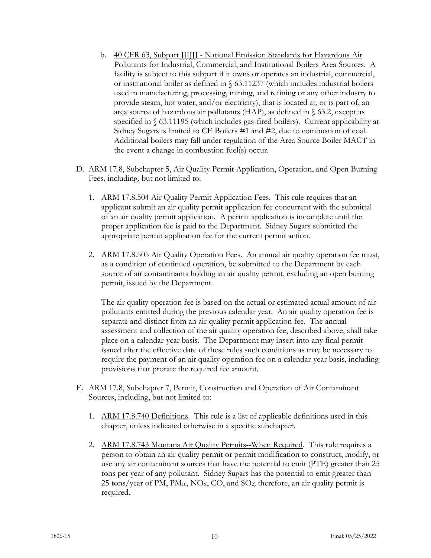- b. 40 CFR 63, Subpart JJJJJJ National Emission Standards for Hazardous Air Pollutants for Industrial, Commercial, and Institutional Boilers Area Sources. A facility is subject to this subpart if it owns or operates an industrial, commercial, or institutional boiler as defined in § 63.11237 (which includes industrial boilers used in manufacturing, processing, mining, and refining or any other industry to provide steam, hot water, and/or electricity), that is located at, or is part of, an area source of hazardous air pollutants (HAP), as defined in § 63.2, except as specified in § 63.11195 (which includes gas-fired boilers). Current applicability at Sidney Sugars is limited to CE Boilers #1 and #2, due to combustion of coal. Additional boilers may fall under regulation of the Area Source Boiler MACT in the event a change in combustion fuel(s) occur.
- D. ARM 17.8, Subchapter 5, Air Quality Permit Application, Operation, and Open Burning Fees, including, but not limited to:
	- 1. ARM 17.8.504 Air Quality Permit Application Fees. This rule requires that an applicant submit an air quality permit application fee concurrent with the submittal of an air quality permit application. A permit application is incomplete until the proper application fee is paid to the Department. Sidney Sugars submitted the appropriate permit application fee for the current permit action.
	- 2. ARM 17.8.505 Air Quality Operation Fees. An annual air quality operation fee must, as a condition of continued operation, be submitted to the Department by each source of air contaminants holding an air quality permit, excluding an open burning permit, issued by the Department.

The air quality operation fee is based on the actual or estimated actual amount of air pollutants emitted during the previous calendar year. An air quality operation fee is separate and distinct from an air quality permit application fee. The annual assessment and collection of the air quality operation fee, described above, shall take place on a calendar-year basis. The Department may insert into any final permit issued after the effective date of these rules such conditions as may be necessary to require the payment of an air quality operation fee on a calendar-year basis, including provisions that prorate the required fee amount.

- E. ARM 17.8, Subchapter 7, Permit, Construction and Operation of Air Contaminant Sources, including, but not limited to:
	- 1. ARM 17.8.740 Definitions. This rule is a list of applicable definitions used in this chapter, unless indicated otherwise in a specific subchapter.
	- 2. ARM 17.8.743 Montana Air Quality Permits--When Required. This rule requires a person to obtain an air quality permit or permit modification to construct, modify, or use any air contaminant sources that have the potential to emit (PTE) greater than 25 tons per year of any pollutant. Sidney Sugars has the potential to emit greater than 25 tons/year of PM,  $PM_{10}$ , NO<sub>X</sub>, CO, and SO<sub>2</sub>; therefore, an air quality permit is required.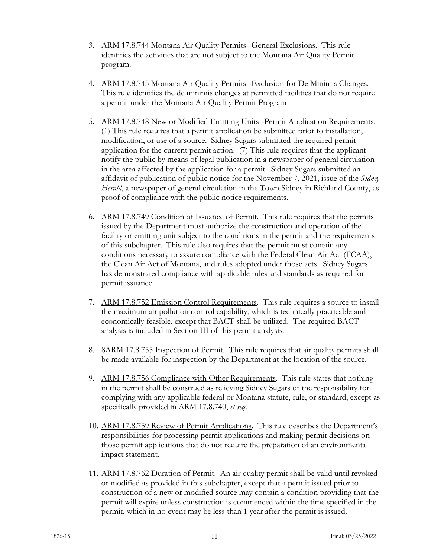- 3. ARM 17.8.744 Montana Air Quality Permits--General Exclusions. This rule identifies the activities that are not subject to the Montana Air Quality Permit program.
- 4. ARM 17.8.745 Montana Air Quality Permits--Exclusion for De Minimis Changes. This rule identifies the de minimis changes at permitted facilities that do not require a permit under the Montana Air Quality Permit Program
- 5. ARM 17.8.748 New or Modified Emitting Units--Permit Application Requirements. (1) This rule requires that a permit application be submitted prior to installation, modification, or use of a source. Sidney Sugars submitted the required permit application for the current permit action. (7) This rule requires that the applicant notify the public by means of legal publication in a newspaper of general circulation in the area affected by the application for a permit. Sidney Sugars submitted an affidavit of publication of public notice for the November 7, 2021, issue of the *Sidney Herald*, a newspaper of general circulation in the Town Sidney in Richland County, as proof of compliance with the public notice requirements.
- 6. ARM 17.8.749 Condition of Issuance of Permit. This rule requires that the permits issued by the Department must authorize the construction and operation of the facility or emitting unit subject to the conditions in the permit and the requirements of this subchapter. This rule also requires that the permit must contain any conditions necessary to assure compliance with the Federal Clean Air Act (FCAA), the Clean Air Act of Montana, and rules adopted under those acts. Sidney Sugars has demonstrated compliance with applicable rules and standards as required for permit issuance.
- 7. ARM 17.8.752 Emission Control Requirements. This rule requires a source to install the maximum air pollution control capability, which is technically practicable and economically feasible, except that BACT shall be utilized. The required BACT analysis is included in Section III of this permit analysis.
- 8. 8ARM 17.8.755 Inspection of Permit. This rule requires that air quality permits shall be made available for inspection by the Department at the location of the source.
- 9. ARM 17.8.756 Compliance with Other Requirements. This rule states that nothing in the permit shall be construed as relieving Sidney Sugars of the responsibility for complying with any applicable federal or Montana statute, rule, or standard, except as specifically provided in ARM 17.8.740, *et seq.*
- 10. ARM 17.8.759 Review of Permit Applications. This rule describes the Department's responsibilities for processing permit applications and making permit decisions on those permit applications that do not require the preparation of an environmental impact statement.
- 11. ARM 17.8.762 Duration of Permit. An air quality permit shall be valid until revoked or modified as provided in this subchapter, except that a permit issued prior to construction of a new or modified source may contain a condition providing that the permit will expire unless construction is commenced within the time specified in the permit, which in no event may be less than 1 year after the permit is issued.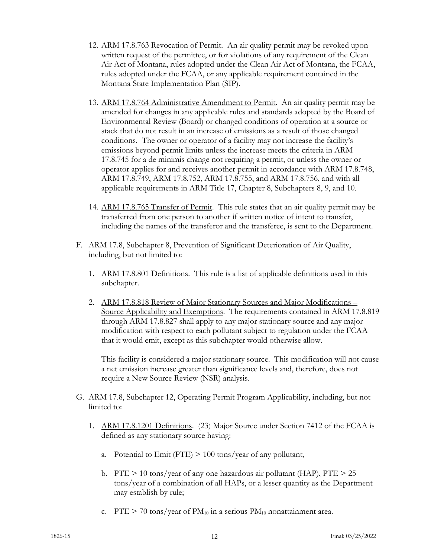- 12. ARM 17.8.763 Revocation of Permit. An air quality permit may be revoked upon written request of the permittee, or for violations of any requirement of the Clean Air Act of Montana, rules adopted under the Clean Air Act of Montana, the FCAA, rules adopted under the FCAA, or any applicable requirement contained in the Montana State Implementation Plan (SIP).
- 13. ARM 17.8.764 Administrative Amendment to Permit. An air quality permit may be amended for changes in any applicable rules and standards adopted by the Board of Environmental Review (Board) or changed conditions of operation at a source or stack that do not result in an increase of emissions as a result of those changed conditions. The owner or operator of a facility may not increase the facility's emissions beyond permit limits unless the increase meets the criteria in ARM 17.8.745 for a de minimis change not requiring a permit, or unless the owner or operator applies for and receives another permit in accordance with ARM 17.8.748, ARM 17.8.749, ARM 17.8.752, ARM 17.8.755, and ARM 17.8.756, and with all applicable requirements in ARM Title 17, Chapter 8, Subchapters 8, 9, and 10.
- 14. ARM 17.8.765 Transfer of Permit. This rule states that an air quality permit may be transferred from one person to another if written notice of intent to transfer, including the names of the transferor and the transferee, is sent to the Department.
- F. ARM 17.8, Subchapter 8, Prevention of Significant Deterioration of Air Quality, including, but not limited to:
	- 1. ARM 17.8.801 Definitions. This rule is a list of applicable definitions used in this subchapter.
	- 2. ARM 17.8.818 Review of Major Stationary Sources and Major Modifications Source Applicability and Exemptions. The requirements contained in ARM 17.8.819 through ARM 17.8.827 shall apply to any major stationary source and any major modification with respect to each pollutant subject to regulation under the FCAA that it would emit, except as this subchapter would otherwise allow.

This facility is considered a major stationary source. This modification will not cause a net emission increase greater than significance levels and, therefore, does not require a New Source Review (NSR) analysis.

- G. ARM 17.8, Subchapter 12, Operating Permit Program Applicability, including, but not limited to:
	- 1. ARM 17.8.1201 Definitions. (23) Major Source under Section 7412 of the FCAA is defined as any stationary source having:
		- a. Potential to Emit (PTE)  $> 100$  tons/year of any pollutant,
		- b. PTE  $> 10$  tons/year of any one hazardous air pollutant (HAP), PTE  $> 25$ tons/year of a combination of all HAPs, or a lesser quantity as the Department may establish by rule;
		- c. PTE  $> 70$  tons/year of PM<sub>10</sub> in a serious PM<sub>10</sub> nonattainment area.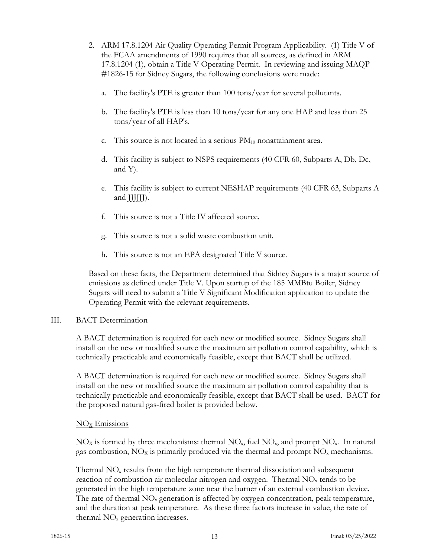- 2. ARM 17.8.1204 Air Quality Operating Permit Program Applicability. (1) Title V of the FCAA amendments of 1990 requires that all sources, as defined in ARM 17.8.1204 (1), obtain a Title V Operating Permit. In reviewing and issuing MAQP #1826-15 for Sidney Sugars, the following conclusions were made:
	- a. The facility's PTE is greater than 100 tons/year for several pollutants.
	- b. The facility's PTE is less than 10 tons/year for any one HAP and less than 25 tons/year of all HAP's.
	- c. This source is not located in a serious  $PM_{10}$  nonattainment area.
	- d. This facility is subject to NSPS requirements (40 CFR 60, Subparts A, Db, Dc, and Y).
	- e. This facility is subject to current NESHAP requirements (40 CFR 63, Subparts A and JJJJJJ).
	- f. This source is not a Title IV affected source.
	- g. This source is not a solid waste combustion unit.
	- h. This source is not an EPA designated Title V source.

Based on these facts, the Department determined that Sidney Sugars is a major source of emissions as defined under Title V. Upon startup of the 185 MMBtu Boiler, Sidney Sugars will need to submit a Title V Significant Modification application to update the Operating Permit with the relevant requirements.

# III. BACT Determination

A BACT determination is required for each new or modified source. Sidney Sugars shall install on the new or modified source the maximum air pollution control capability, which is technically practicable and economically feasible, except that BACT shall be utilized.

A BACT determination is required for each new or modified source. Sidney Sugars shall install on the new or modified source the maximum air pollution control capability that is technically practicable and economically feasible, except that BACT shall be used. BACT for the proposed natural gas-fired boiler is provided below.

# $NO<sub>x</sub>$  Emissions

 $NO<sub>x</sub>$  is formed by three mechanisms: thermal  $NO<sub>x</sub>$ , fuel  $NO<sub>x</sub>$ , and prompt  $NO<sub>x</sub>$ . In natural gas combustion,  $NO_X$  is primarily produced via the thermal and prompt  $NO_X$  mechanisms.

Thermal  $NO<sub>x</sub>$  results from the high temperature thermal dissociation and subsequent reaction of combustion air molecular nitrogen and oxygen. Thermal  $NO<sub>x</sub>$  tends to be generated in the high temperature zone near the burner of an external combustion device. The rate of thermal  $NO<sub>x</sub>$  generation is affected by oxygen concentration, peak temperature, and the duration at peak temperature. As these three factors increase in value, the rate of thermal  $NO<sub>x</sub>$  generation increases.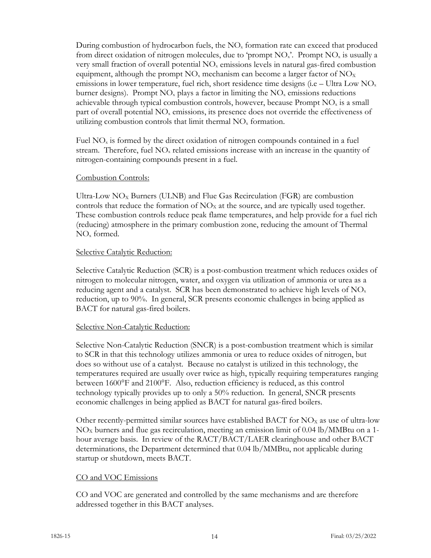During combustion of hydrocarbon fuels, the  $NO<sub>x</sub>$  formation rate can exceed that produced from direct oxidation of nitrogen molecules, due to 'prompt  $NO<sub>x</sub>$ '. Prompt  $NO<sub>x</sub>$  is usually a very small fraction of overall potential  $NO<sub>x</sub>$  emissions levels in natural gas-fired combustion equipment, although the prompt  $NO<sub>x</sub>$  mechanism can become a larger factor of  $NO<sub>x</sub>$ emissions in lower temperature, fuel rich, short residence time designs (i.e – Ultra Low  $NO<sub>x</sub>$ burner designs). Prompt  $NO<sub>x</sub>$  plays a factor in limiting the  $NO<sub>x</sub>$  emissions reductions achievable through typical combustion controls, however, because Prompt  $NO<sub>x</sub>$  is a small part of overall potential  $NO<sub>x</sub>$  emissions, its presence does not override the effectiveness of utilizing combustion controls that limit thermal  $NO<sub>x</sub>$  formation.

Fuel  $NO<sub>x</sub>$  is formed by the direct oxidation of nitrogen compounds contained in a fuel stream. Therefore, fuel  $NO<sub>x</sub>$  related emissions increase with an increase in the quantity of nitrogen-containing compounds present in a fuel.

### Combustion Controls:

Ultra-Low  $NO<sub>X</sub>$  Burners (ULNB) and Flue Gas Recirculation (FGR) are combustion controls that reduce the formation of  $NO<sub>X</sub>$  at the source, and are typically used together. These combustion controls reduce peak flame temperatures, and help provide for a fuel rich (reducing) atmosphere in the primary combustion zone, reducing the amount of Thermal NOx formed.

#### Selective Catalytic Reduction:

Selective Catalytic Reduction (SCR) is a post-combustion treatment which reduces oxides of nitrogen to molecular nitrogen, water, and oxygen via utilization of ammonia or urea as a reducing agent and a catalyst. SCR has been demonstrated to achieve high levels of  $NO<sub>x</sub>$ reduction, up to 90%. In general, SCR presents economic challenges in being applied as BACT for natural gas-fired boilers.

#### Selective Non-Catalytic Reduction:

Selective Non-Catalytic Reduction (SNCR) is a post-combustion treatment which is similar to SCR in that this technology utilizes ammonia or urea to reduce oxides of nitrogen, but does so without use of a catalyst. Because no catalyst is utilized in this technology, the temperatures required are usually over twice as high, typically requiring temperatures ranging between 1600°F and 2100°F. Also, reduction efficiency is reduced, as this control technology typically provides up to only a 50% reduction. In general, SNCR presents economic challenges in being applied as BACT for natural gas-fired boilers.

Other recently-permitted similar sources have established BACT for  $NO<sub>x</sub>$  as use of ultra-low  $NO<sub>X</sub>$  burners and flue gas recirculation, meeting an emission limit of 0.04 lb/MMBtu on a 1hour average basis. In review of the RACT/BACT/LAER clearinghouse and other BACT determinations, the Department determined that 0.04 lb/MMBtu, not applicable during startup or shutdown, meets BACT.

# CO and VOC Emissions

CO and VOC are generated and controlled by the same mechanisms and are therefore addressed together in this BACT analyses.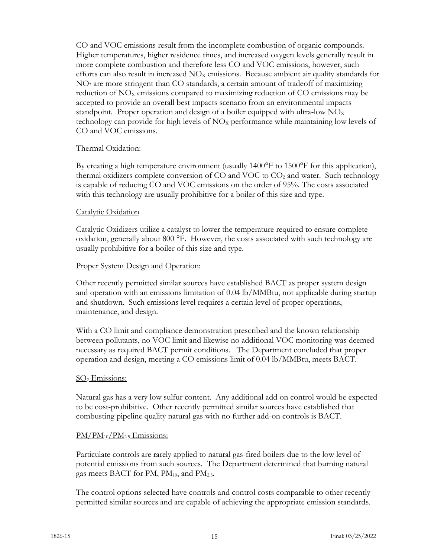CO and VOC emissions result from the incomplete combustion of organic compounds. Higher temperatures, higher residence times, and increased oxygen levels generally result in more complete combustion and therefore less CO and VOC emissions, however, such efforts can also result in increased  $NO<sub>x</sub>$  emissions. Because ambient air quality standards for NO2 are more stringent than CO standards, a certain amount of tradeoff of maximizing reduction of  $NO<sub>x</sub>$  emissions compared to maximizing reduction of CO emissions may be accepted to provide an overall best impacts scenario from an environmental impacts standpoint. Proper operation and design of a boiler equipped with ultra-low  $NO<sub>x</sub>$ technology can provide for high levels of  $NO<sub>x</sub>$  performance while maintaining low levels of CO and VOC emissions.

# Thermal Oxidation:

By creating a high temperature environment (usually 1400°F to 1500°F for this application), thermal oxidizers complete conversion of  $CO$  and VOC to  $CO<sub>2</sub>$  and water. Such technology is capable of reducing CO and VOC emissions on the order of 95%. The costs associated with this technology are usually prohibitive for a boiler of this size and type.

### Catalytic Oxidation

Catalytic Oxidizers utilize a catalyst to lower the temperature required to ensure complete oxidation, generally about 800 °F. However, the costs associated with such technology are usually prohibitive for a boiler of this size and type.

### Proper System Design and Operation:

Other recently permitted similar sources have established BACT as proper system design and operation with an emissions limitation of 0.04 lb/MMBtu, not applicable during startup and shutdown. Such emissions level requires a certain level of proper operations, maintenance, and design.

With a CO limit and compliance demonstration prescribed and the known relationship between pollutants, no VOC limit and likewise no additional VOC monitoring was deemed necessary as required BACT permit conditions. The Department concluded that proper operation and design, meeting a CO emissions limit of 0.04 lb/MMBtu, meets BACT.

#### SO2 Emissions:

Natural gas has a very low sulfur content. Any additional add on control would be expected to be cost-prohibitive. Other recently permitted similar sources have established that combusting pipeline quality natural gas with no further add-on controls is BACT.

#### $PM/PM_{10}/PM_{2.5}$  Emissions:

Particulate controls are rarely applied to natural gas-fired boilers due to the low level of potential emissions from such sources. The Department determined that burning natural gas meets BACT for PM,  $PM_{10}$ , and  $PM_{2.5}$ .

The control options selected have controls and control costs comparable to other recently permitted similar sources and are capable of achieving the appropriate emission standards.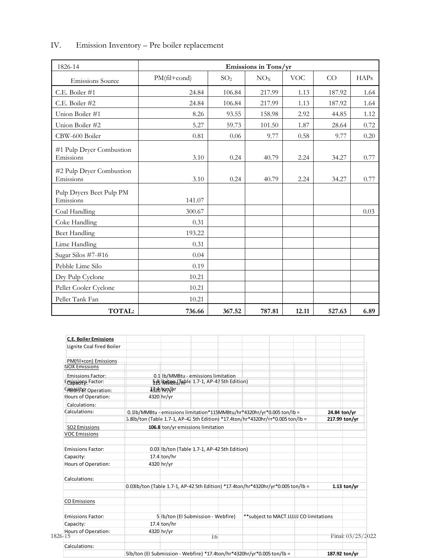| 1826-14                               |              |                 | Emissions in Tons/yr |            |        |             |
|---------------------------------------|--------------|-----------------|----------------------|------------|--------|-------------|
| <b>Emissions Source</b>               | PM(fil+cond) | SO <sub>2</sub> | NO <sub>X</sub>      | <b>VOC</b> | CO     | <b>HAPs</b> |
| C.E. Boiler #1                        | 24.84        | 106.84          | 217.99               | 1.13       | 187.92 | 1.64        |
| C.E. Boiler #2                        | 24.84        | 106.84          | 217.99               | 1.13       | 187.92 | 1.64        |
| Union Boiler #1                       | 8.26         | 93.55           | 158.98               | 2.92       | 44.85  | 1.12        |
| Union Boiler #2                       | 5.27         | 59.73           | 101.50               | 1.87       | 28.64  | 0.72        |
| CBW-600 Boiler                        | 0.81         | 0.06            | 9.77                 | 0.58       | 9.77   | 0.20        |
| #1 Pulp Dryer Combustion<br>Emissions | 3.10         | 0.24            | 40.79                | 2.24       | 34.27  | 0.77        |
| #2 Pulp Dryer Combustion<br>Emissions | 3.10         | 0.24            | 40.79                | 2.24       | 34.27  | 0.77        |
| Pulp Dryers Beet Pulp PM<br>Emissions | 141.07       |                 |                      |            |        |             |
| Coal Handling                         | 300.67       |                 |                      |            |        | 0.03        |
| Coke Handling                         | 0.31         |                 |                      |            |        |             |
| <b>Beet Handling</b>                  | 193.22       |                 |                      |            |        |             |
| Lime Handling                         | 0.31         |                 |                      |            |        |             |
| Sugar Silos #7-#16                    | 0.04         |                 |                      |            |        |             |
| Pebble Lime Silo                      | 0.19         |                 |                      |            |        |             |
| Dry Pulp Cyclone                      | 10.21        |                 |                      |            |        |             |
| Pellet Cooler Cyclone                 | 10.21        |                 |                      |            |        |             |
| Pellet Tank Fan                       | 10.21        |                 |                      |            |        |             |
| <b>TOTAL:</b>                         | 736.66       | 367.52          | 787.81               | 12.11      | 527.63 | 6.89        |

# IV. Emission Inventory – Pre boiler replacement

| <b>C.E. Boiler Emissions</b>   |                                                                         |                |                                              |  |                                                                                  |              |                     |
|--------------------------------|-------------------------------------------------------------------------|----------------|----------------------------------------------|--|----------------------------------------------------------------------------------|--------------|---------------------|
| Lignite Coal fired Boiler      |                                                                         |                |                                              |  |                                                                                  |              |                     |
| PM(fil+con) Emissions          |                                                                         |                |                                              |  |                                                                                  |              |                     |
| <b>NOX Emissions</b>           |                                                                         |                |                                              |  |                                                                                  |              |                     |
| <b>Emissions Factor:</b>       |                                                                         |                | 0.1 lb/MMBtu - emissions limitation          |  |                                                                                  |              |                     |
| Emissions Factor:              |                                                                         |                | 轻MyMed(Table 1.7-1, AP-42 5th Edition)       |  |                                                                                  |              |                     |
| CABBGES Operation:             |                                                                         | $4326$ $\n  W$ |                                              |  |                                                                                  |              |                     |
| Hours of Operation:            |                                                                         | 4320 hr/yr     |                                              |  |                                                                                  |              |                     |
| Calculations:                  |                                                                         |                |                                              |  |                                                                                  |              |                     |
| Calculations:                  | 0.1lb/MMBtu - emissions limitation*115MMBtu/hr*4320hr/yr*0.005 ton/lb = |                |                                              |  |                                                                                  | 24.84 ton/yr |                     |
|                                |                                                                         |                |                                              |  | 5.8lb/ton (Table 1.7-1, AP-42 5th Edition) *17.4ton/hr*4320hr/yr*0.005 ton/lb =  |              | 217.99 ton/yr       |
| <b>SO2 Emissions</b>           |                                                                         |                | 106.8 ton/yr emissions limitation            |  |                                                                                  |              |                     |
| <b>VOC Emissions</b>           |                                                                         |                |                                              |  |                                                                                  |              |                     |
| <b>Emissions Factor:</b>       |                                                                         |                | 0.03 lb/ton (Table 1.7-1, AP-42 5th Edition) |  |                                                                                  |              |                     |
| Capacity:                      |                                                                         | $17.4$ ton/hr  |                                              |  |                                                                                  |              |                     |
| Hours of Operation:            |                                                                         | 4320 hr/yr     |                                              |  |                                                                                  |              |                     |
| Calculations:                  |                                                                         |                |                                              |  |                                                                                  |              |                     |
|                                |                                                                         |                |                                              |  | 0.03lb/ton (Table 1.7-1, AP-42 5th Edition) *17.4ton/hr*4320hr/yr*0.005 ton/lb = |              | $1.13$ ton/yr       |
| <b>CO Emissions</b>            |                                                                         |                |                                              |  |                                                                                  |              |                     |
| <b>Emissions Factor:</b>       |                                                                         |                | 5 Ib/ton (El Submission - Webfire)           |  | ** subject to MACT JJJJJJ CO limitations                                         |              |                     |
| Capacity:                      |                                                                         | 17.4 ton/hr    |                                              |  |                                                                                  |              |                     |
| Hours of Operation:<br>1826-15 |                                                                         | 4320 hr/yr     | 16                                           |  |                                                                                  |              | Final: $03/25/2022$ |
| Calculations:                  |                                                                         |                |                                              |  |                                                                                  |              |                     |
|                                | 5lb/ton (El Submission - Webfire) *17.4ton/hr*4320hr/yr*0.005 ton/lb =  |                |                                              |  |                                                                                  |              | 187.92 ton/yr       |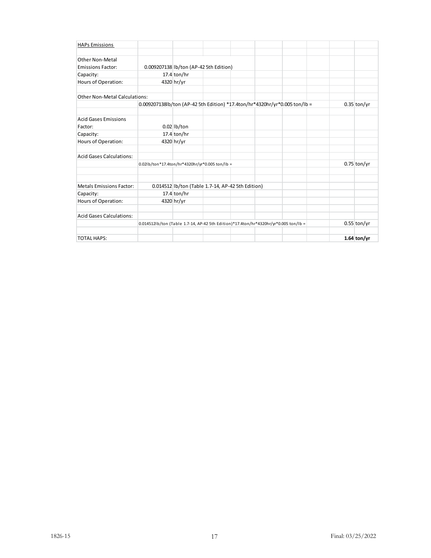| <b>HAPs Emissions</b>           |                                                                                      |               |                                                   |  |  |               |
|---------------------------------|--------------------------------------------------------------------------------------|---------------|---------------------------------------------------|--|--|---------------|
|                                 |                                                                                      |               |                                                   |  |  |               |
| Other Non-Metal                 |                                                                                      |               |                                                   |  |  |               |
| <b>Emissions Factor:</b>        |                                                                                      |               | 0.009207138 lb/ton (AP-42 5th Edition)            |  |  |               |
| Capacity:                       |                                                                                      | 17.4 ton/hr   |                                                   |  |  |               |
| Hours of Operation:             |                                                                                      | 4320 hr/yr    |                                                   |  |  |               |
| Other Non-Metal Calculations:   |                                                                                      |               |                                                   |  |  |               |
|                                 | 0.009207138lb/ton (AP-42 5th Edition) *17.4ton/hr*4320hr/yr*0.005 ton/lb =           |               |                                                   |  |  | $0.35$ ton/yr |
| <b>Acid Gases Emissions</b>     |                                                                                      |               |                                                   |  |  |               |
| Factor:                         |                                                                                      | $0.02$ lb/ton |                                                   |  |  |               |
| Capacity:                       |                                                                                      | $17.4$ ton/hr |                                                   |  |  |               |
| <b>Hours of Operation:</b>      |                                                                                      | 4320 hr/yr    |                                                   |  |  |               |
| <b>Acid Gases Calculations:</b> |                                                                                      |               |                                                   |  |  |               |
|                                 | 0.02lb/ton*17.4ton/hr*4320hr/yr*0.005 ton/lb =                                       |               |                                                   |  |  | $0.75$ ton/yr |
| <b>Metals Emissions Factor:</b> |                                                                                      |               | 0.014512 lb/ton (Table 1.7-14, AP-42 5th Edition) |  |  |               |
| Capacity:                       |                                                                                      | $17.4$ ton/hr |                                                   |  |  |               |
| <b>Hours of Operation:</b>      |                                                                                      | 4320 hr/yr    |                                                   |  |  |               |
| <b>Acid Gases Calculations:</b> |                                                                                      |               |                                                   |  |  |               |
|                                 | 0.014512lb/ton (Table 1.7-14, AP-42 5th Edition)*17.4ton/hr*4320hr/yr*0.005 ton/lb = |               |                                                   |  |  | $0.55$ ton/yr |
| <b>TOTAL HAPS:</b>              |                                                                                      |               |                                                   |  |  | 1.64 ton/yr   |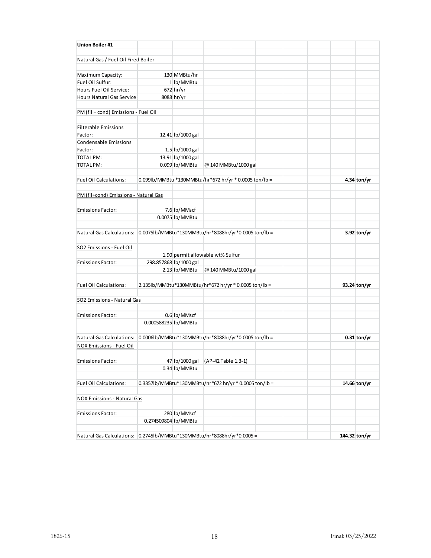| <b>Union Boiler #1</b>                |                                                        |                                  |                      |  |  |               |
|---------------------------------------|--------------------------------------------------------|----------------------------------|----------------------|--|--|---------------|
| Natural Gas / Fuel Oil Fired Boiler   |                                                        |                                  |                      |  |  |               |
|                                       |                                                        |                                  |                      |  |  |               |
| Maximum Capacity:                     |                                                        | 130 MMBtu/hr                     |                      |  |  |               |
| Fuel Oil Sulfur:                      |                                                        | 1 lb/MMBtu                       |                      |  |  |               |
| Hours Fuel Oil Service:               |                                                        | $672$ hr/yr                      |                      |  |  |               |
| Hours Natural Gas Service:            |                                                        | 8088 hr/yr                       |                      |  |  |               |
|                                       |                                                        |                                  |                      |  |  |               |
| PM (fil + cond) Emissions - Fuel Oil  |                                                        |                                  |                      |  |  |               |
|                                       |                                                        |                                  |                      |  |  |               |
| <b>Filterable Emissions</b>           |                                                        |                                  |                      |  |  |               |
| Factor:                               |                                                        | 12.41 lb/1000 gal                |                      |  |  |               |
| <b>Condensable Emissions</b>          |                                                        |                                  |                      |  |  |               |
| Factor:                               |                                                        | 1.5 lb/1000 gal                  |                      |  |  |               |
| <b>TOTAL PM:</b>                      |                                                        | 13.91 lb/1000 gal                |                      |  |  |               |
| <b>TOTAL PM:</b>                      |                                                        | 0.099 lb/MMBtu                   | @ 140 MMBtu/1000 gal |  |  |               |
|                                       |                                                        |                                  |                      |  |  |               |
| <b>Fuel Oil Calculations:</b>         | 0.099lb/MMBtu *130MMBtu/hr*672 hr/yr * 0.0005 ton/lb = |                                  |                      |  |  | 4.34 ton/yr   |
| PM (fil+cond) Emissions - Natural Gas |                                                        |                                  |                      |  |  |               |
|                                       |                                                        |                                  |                      |  |  |               |
| <b>Emissions Factor:</b>              |                                                        | 7.6 lb/MMscf                     |                      |  |  |               |
|                                       |                                                        | 0.0075 lb/MMBtu                  |                      |  |  |               |
|                                       |                                                        |                                  |                      |  |  |               |
| Natural Gas Calculations:             | 0.0075lb/MMBtu*130MMBtu/hr*8088hr/yr*0.0005 ton/lb =   |                                  |                      |  |  | 3.92 ton/yr   |
|                                       |                                                        |                                  |                      |  |  |               |
| <b>SO2 Emissions - Fuel Oil</b>       |                                                        |                                  |                      |  |  |               |
|                                       |                                                        | 1.90 permit allowable wt% Sulfur |                      |  |  |               |
| <b>Emissions Factor:</b>              |                                                        | 298.857868 lb/1000 gal           |                      |  |  |               |
|                                       |                                                        | 2.13 lb/MMBtu                    | @ 140 MMBtu/1000 gal |  |  |               |
|                                       |                                                        |                                  |                      |  |  |               |
| <b>Fuel Oil Calculations:</b>         | 2.135lb/MMBtu*130MMBtu/hr*672 hr/yr * 0.0005 ton/lb =  |                                  |                      |  |  | 93.24 ton/yr  |
|                                       |                                                        |                                  |                      |  |  |               |
| SO2 Emissions - Natural Gas           |                                                        |                                  |                      |  |  |               |
|                                       |                                                        |                                  |                      |  |  |               |
| <b>Emissions Factor:</b>              |                                                        | 0.6 lb/MMscf                     |                      |  |  |               |
|                                       | 0.000588235 lb/MMBtu                                   |                                  |                      |  |  |               |
| <b>Natural Gas Calculations:</b>      | 0.0006lb/MMBtu*130MMBtu/hr*8088hr/yr*0.0005 ton/lb =   |                                  |                      |  |  | $0.31$ ton/yr |
|                                       |                                                        |                                  |                      |  |  |               |
| NOX Emissions - Fuel Oil              |                                                        |                                  |                      |  |  |               |
| <b>Emissions Factor:</b>              |                                                        | 47 lb/1000 gal                   | (AP-42 Table 1.3-1)  |  |  |               |
|                                       |                                                        | 0.34 lb/MMBtu                    |                      |  |  |               |
|                                       |                                                        |                                  |                      |  |  |               |
| <b>Fuel Oil Calculations:</b>         | 0.3357lb/MMBtu*130MMBtu/hr*672 hr/yr * 0.0005 ton/lb = |                                  |                      |  |  | 14.66 ton/yr  |
|                                       |                                                        |                                  |                      |  |  |               |
| NOX Emissions - Natural Gas           |                                                        |                                  |                      |  |  |               |
|                                       |                                                        |                                  |                      |  |  |               |
| <b>Emissions Factor:</b>              |                                                        | 280 lb/MMscf                     |                      |  |  |               |
|                                       | 0.274509804 lb/MMBtu                                   |                                  |                      |  |  |               |
|                                       |                                                        |                                  |                      |  |  |               |
| <b>Natural Gas Calculations:</b>      | 0.2745lb/MMBtu*130MMBtu/hr*8088hr/yr*0.0005 =          |                                  |                      |  |  | 144.32 ton/yr |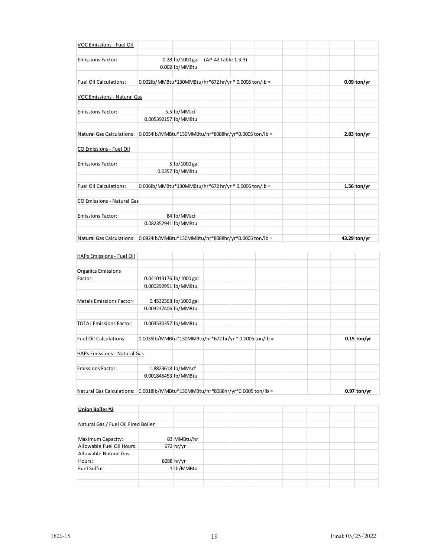| VOC Emissions - Fuel Oil           |                                                       |                  |                     |  |  |               |
|------------------------------------|-------------------------------------------------------|------------------|---------------------|--|--|---------------|
| <b>Emissions Factor:</b>           |                                                       | 0.28 lb/1000 gal | (AP-42 Table 1.3-3) |  |  |               |
|                                    |                                                       | 0.002 lb/MMBtu   |                     |  |  |               |
| <b>Fuel Oil Calculations:</b>      | 0.002lb/MMBtu*130MMBtu/hr*672 hr/yr * 0.0005 ton/lb = |                  |                     |  |  | $0.09$ ton/yr |
| <b>VOC Emissions - Natural Gas</b> |                                                       |                  |                     |  |  |               |
| <b>Emissions Factor:</b>           |                                                       | 5.5 lb/MMscf     |                     |  |  |               |
|                                    | 0.005392157 lb/MMBtu                                  |                  |                     |  |  |               |
| Natural Gas Calculations:          | 0.0054lb/MMBtu*130MMBtu/hr*8088hr/yr*0.0005 ton/lb =  |                  |                     |  |  | 2.83 ton/yr   |
| CO Emissions - Fuel Oil            |                                                       |                  |                     |  |  |               |
| <b>Emissions Factor:</b>           |                                                       | 5 lb/1000 gal    |                     |  |  |               |
|                                    |                                                       | 0.0357 lb/MMBtu  |                     |  |  |               |
| <b>Fuel Oil Calculations:</b>      | 0.036lb/MMBtu*130MMBtu/hr*672 hr/yr * 0.0005 ton/lb = |                  |                     |  |  | 1.56 ton/yr   |
| CO Emissions - Natural Gas         |                                                       |                  |                     |  |  |               |
| <b>Emissions Factor:</b>           |                                                       | 84 lb/MMscf      |                     |  |  |               |
|                                    | 0.082352941 lb/MMBtu                                  |                  |                     |  |  |               |
| Natural Gas Calculations:          | 0.0824lb/MMBtu*130MMBtu/hr*8088hr/yr*0.0005 ton/lb =  |                  |                     |  |  | 43.29 ton/yr  |

| <b>HAPs Emissions - Fuel Oil</b> |                                                        |                       |  |  |  |               |
|----------------------------------|--------------------------------------------------------|-----------------------|--|--|--|---------------|
|                                  |                                                        |                       |  |  |  |               |
| <b>Organics Emissions</b>        |                                                        |                       |  |  |  |               |
| Factor:                          | 0.041013176 lb/1000 gal                                |                       |  |  |  |               |
|                                  | 0.000292951 lb/MMBtu                                   |                       |  |  |  |               |
|                                  |                                                        |                       |  |  |  |               |
| <b>Metals Emissions Factor:</b>  |                                                        | 0.4532368 lb/1000 gal |  |  |  |               |
|                                  | 0.003237406 lb/MMBtu                                   |                       |  |  |  |               |
|                                  |                                                        |                       |  |  |  |               |
| <b>TOTAL Emissions Factor:</b>   | 0.003530357 lb/MMBtu                                   |                       |  |  |  |               |
|                                  |                                                        |                       |  |  |  |               |
| <b>Fuel Oil Calculations:</b>    | 0.0035lb/MMBtu*130MMBtu/hr*672 hr/yr * 0.0005 ton/lb = |                       |  |  |  | $0.15$ ton/yr |
|                                  |                                                        |                       |  |  |  |               |
| HAPs Emissions - Natural Gas     |                                                        |                       |  |  |  |               |
|                                  |                                                        |                       |  |  |  |               |
| <b>Emissions Factor:</b>         | 1.8823618 lb/MMscf                                     |                       |  |  |  |               |
|                                  | 0.001845453 lb/MMBtu                                   |                       |  |  |  |               |
|                                  |                                                        |                       |  |  |  |               |
| <b>Natural Gas Calculations:</b> | 0.0018lb/MMBtu*130MMBtu/hr*8088hr/yr*0.0005 ton/lb =   |                       |  |  |  | $0.97$ ton/yr |

| <b>Union Boiler#2</b>               |             |  |  |  |  |
|-------------------------------------|-------------|--|--|--|--|
|                                     |             |  |  |  |  |
| Natural Gas / Fuel Oil Fired Boiler |             |  |  |  |  |
|                                     |             |  |  |  |  |
| Maximum Capacity:                   | 83 MMBtu/hr |  |  |  |  |
| Allowable Fuel Oil Hours:           | 672 hr/yr   |  |  |  |  |
| Allowable Natural Gas               |             |  |  |  |  |
| Hours:                              | 8088 hr/yr  |  |  |  |  |
| Fuel Sulfur:                        | 1 lb/MMBtu  |  |  |  |  |
|                                     |             |  |  |  |  |
|                                     |             |  |  |  |  |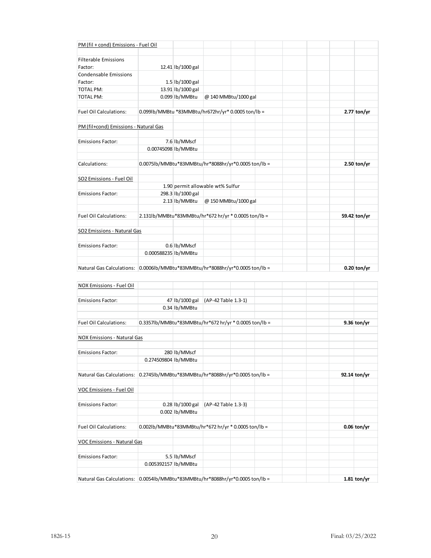| PM (fil + cond) Emissions - Fuel Oil                                          |                                                      |                   |                                  |                      |  |               |
|-------------------------------------------------------------------------------|------------------------------------------------------|-------------------|----------------------------------|----------------------|--|---------------|
|                                                                               |                                                      |                   |                                  |                      |  |               |
| <b>Filterable Emissions</b>                                                   |                                                      |                   |                                  |                      |  |               |
| Factor:                                                                       |                                                      | 12.41 lb/1000 gal |                                  |                      |  |               |
| <b>Condensable Emissions</b>                                                  |                                                      |                   |                                  |                      |  |               |
| Factor:                                                                       |                                                      | 1.5 lb/1000 gal   |                                  |                      |  |               |
| <b>TOTAL PM:</b>                                                              |                                                      | 13.91 lb/1000 gal |                                  |                      |  |               |
| <b>TOTAL PM:</b>                                                              |                                                      | 0.099 lb/MMBtu    |                                  | @ 140 MMBtu/1000 gal |  |               |
| <b>Fuel Oil Calculations:</b>                                                 | 0.099lb/MMBtu *83MMBtu/hr672hr/yr* 0.0005 ton/lb =   |                   |                                  |                      |  | $2.77$ ton/yr |
| PM (fil+cond) Emissions - Natural Gas                                         |                                                      |                   |                                  |                      |  |               |
| <b>Emissions Factor:</b>                                                      |                                                      | 7.6 lb/MMscf      |                                  |                      |  |               |
|                                                                               | 0.00745098 lb/MMBtu                                  |                   |                                  |                      |  |               |
|                                                                               |                                                      |                   |                                  |                      |  |               |
| Calculations:                                                                 | 0.0075lb/MMBtu*83MMBtu/hr*8088hr/yr*0.0005 ton/lb =  |                   |                                  |                      |  | $2.50$ ton/yr |
| SO2 Emissions - Fuel Oil                                                      |                                                      |                   |                                  |                      |  |               |
|                                                                               |                                                      |                   | 1.90 permit allowable wt% Sulfur |                      |  |               |
| <b>Emissions Factor:</b>                                                      |                                                      | 298.3 lb/1000 gal |                                  |                      |  |               |
|                                                                               |                                                      | 2.13 lb/MMBtu     |                                  | @ 150 MMBtu/1000 gal |  |               |
| <b>Fuel Oil Calculations:</b>                                                 | 2.131lb/MMBtu*83MMBtu/hr*672 hr/yr * 0.0005 ton/lb = |                   |                                  |                      |  | 59.42 ton/yr  |
|                                                                               |                                                      |                   |                                  |                      |  |               |
| SO2 Emissions - Natural Gas                                                   |                                                      |                   |                                  |                      |  |               |
| <b>Emissions Factor:</b>                                                      |                                                      | 0.6 lb/MMscf      |                                  |                      |  |               |
|                                                                               | 0.000588235 lb/MMBtu                                 |                   |                                  |                      |  |               |
| Natural Gas Calculations: 0.0006lb/MMBtu*83MMBtu/hr*8088hr/yr*0.0005 ton/lb = |                                                      |                   |                                  |                      |  | $0.20$ ton/yr |

| NOX Emissions - Fuel Oil           |                                                       |                  |                     |  |  |               |
|------------------------------------|-------------------------------------------------------|------------------|---------------------|--|--|---------------|
|                                    |                                                       |                  |                     |  |  |               |
| <b>Emissions Factor:</b>           |                                                       | 47 lb/1000 gal   | (AP-42 Table 1.3-1) |  |  |               |
|                                    |                                                       | 0.34 lb/MMBtu    |                     |  |  |               |
| <b>Fuel Oil Calculations:</b>      | 0.3357lb/MMBtu*83MMBtu/hr*672 hr/yr * 0.0005 ton/lb = |                  |                     |  |  | $9.36$ ton/yr |
| <b>NOX Emissions - Natural Gas</b> |                                                       |                  |                     |  |  |               |
| <b>Emissions Factor:</b>           |                                                       | 280 lb/MMscf     |                     |  |  |               |
|                                    | 0.274509804 lb/MMBtu                                  |                  |                     |  |  |               |
| <b>Natural Gas Calculations:</b>   | 0.2745lb/MMBtu*83MMBtu/hr*8088hr/yr*0.0005 ton/lb =   |                  |                     |  |  | 92.14 ton/yr  |
| VOC Emissions - Fuel Oil           |                                                       |                  |                     |  |  |               |
| <b>Emissions Factor:</b>           |                                                       | 0.28 lb/1000 gal | (AP-42 Table 1.3-3) |  |  |               |
|                                    |                                                       | 0.002 lb/MMBtu   |                     |  |  |               |
| <b>Fuel Oil Calculations:</b>      | 0.002lb/MMBtu*83MMBtu/hr*672 hr/yr * 0.0005 ton/lb =  |                  |                     |  |  | $0.06$ ton/yr |
| <b>VOC Emissions - Natural Gas</b> |                                                       |                  |                     |  |  |               |
| <b>Emissions Factor:</b>           |                                                       | 5.5 lb/MMscf     |                     |  |  |               |
|                                    | 0.005392157 lb/MMBtu                                  |                  |                     |  |  |               |
| <b>Natural Gas Calculations:</b>   | 0.0054lb/MMBtu*83MMBtu/hr*8088hr/yr*0.0005 ton/lb =   |                  |                     |  |  | $1.81$ ton/yr |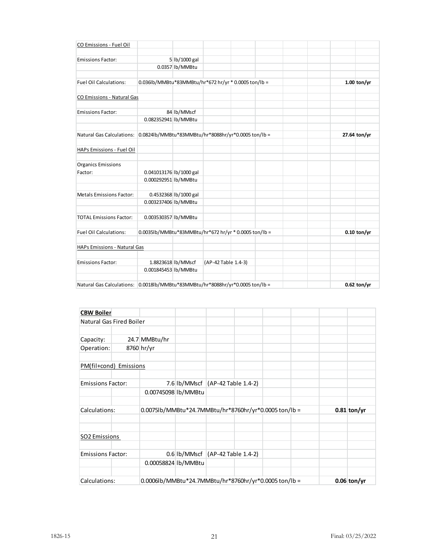| CO Emissions - Fuel Oil                                                       |                                                       |                       |                     |  |  |               |
|-------------------------------------------------------------------------------|-------------------------------------------------------|-----------------------|---------------------|--|--|---------------|
|                                                                               |                                                       |                       |                     |  |  |               |
| <b>Emissions Factor:</b>                                                      |                                                       | 5 lb/1000 gal         |                     |  |  |               |
|                                                                               |                                                       | 0.0357 lb/MMBtu       |                     |  |  |               |
| <b>Fuel Oil Calculations:</b>                                                 | 0.036lb/MMBtu*83MMBtu/hr*672 hr/yr * 0.0005 ton/lb =  |                       |                     |  |  | $1.00$ ton/yr |
|                                                                               |                                                       |                       |                     |  |  |               |
| <b>CO Emissions - Natural Gas</b>                                             |                                                       |                       |                     |  |  |               |
| <b>Emissions Factor:</b>                                                      |                                                       | 84 lb/MMscf           |                     |  |  |               |
|                                                                               | 0.082352941 lb/MMBtu                                  |                       |                     |  |  |               |
|                                                                               |                                                       |                       |                     |  |  |               |
| Natural Gas Calculations: 0.0824lb/MMBtu*83MMBtu/hr*8088hr/yr*0.0005 ton/lb = |                                                       |                       |                     |  |  | 27.64 ton/yr  |
| HAPs Emissions - Fuel Oil                                                     |                                                       |                       |                     |  |  |               |
| <b>Organics Emissions</b>                                                     |                                                       |                       |                     |  |  |               |
| Factor:                                                                       | 0.041013176 lb/1000 gal                               |                       |                     |  |  |               |
|                                                                               | 0.000292951 lb/MMBtu                                  |                       |                     |  |  |               |
| <b>Metals Emissions Factor:</b>                                               |                                                       | 0.4532368 lb/1000 gal |                     |  |  |               |
|                                                                               | 0.003237406 lb/MMBtu                                  |                       |                     |  |  |               |
|                                                                               |                                                       |                       |                     |  |  |               |
| <b>TOTAL Emissions Factor:</b>                                                | 0.003530357 lb/MMBtu                                  |                       |                     |  |  |               |
| <b>Fuel Oil Calculations:</b>                                                 | 0.0035lb/MMBtu*83MMBtu/hr*672 hr/yr * 0.0005 ton/lb = |                       |                     |  |  | $0.10$ ton/yr |
| HAPs Emissions - Natural Gas                                                  |                                                       |                       |                     |  |  |               |
|                                                                               |                                                       |                       |                     |  |  |               |
| <b>Emissions Factor:</b>                                                      | 1.8823618 lb/MMscf<br>0.001845453 lb/MMBtu            |                       | (AP-42 Table 1.4-3) |  |  |               |
|                                                                               |                                                       |                       |                     |  |  |               |
| Natural Gas Calculations: 0.0018lb/MMBtu*83MMBtu/hr*8088hr/yr*0.0005 ton/lb = |                                                       |                       |                     |  |  | $0.62$ ton/yr |

| <b>CBW Boiler</b>        |  |                                                       |                                                       |               |               |
|--------------------------|--|-------------------------------------------------------|-------------------------------------------------------|---------------|---------------|
| Natural Gas Fired Boiler |  |                                                       |                                                       |               |               |
|                          |  |                                                       |                                                       |               |               |
| Capacity:                |  | 24.7 MMBtu/hr                                         |                                                       |               |               |
| Operation:               |  | 8760 hr/yr                                            |                                                       |               |               |
| PM(fil+cond) Emissions   |  |                                                       |                                                       |               |               |
| <b>Emissions Factor:</b> |  |                                                       | 7.6 lb/MMscf (AP-42 Table 1.4-2)                      |               |               |
|                          |  | 0.00745098 lb/MMBtu                                   |                                                       |               |               |
| Calculations:            |  | 0.0075lb/MMBtu*24.7MMBtu/hr*8760hr/yr*0.0005 ton/lb = |                                                       | $0.81$ ton/yr |               |
| <b>SO2 Emissions</b>     |  |                                                       |                                                       |               |               |
| <b>Emissions Factor:</b> |  |                                                       | $0.6$ Ib/MMscf (AP-42 Table 1.4-2)                    |               |               |
|                          |  | 0.00058824 lb/MMBtu                                   |                                                       |               |               |
| Calculations:            |  |                                                       | 0.0006lb/MMBtu*24.7MMBtu/hr*8760hr/yr*0.0005 ton/lb = |               | $0.06$ ton/yr |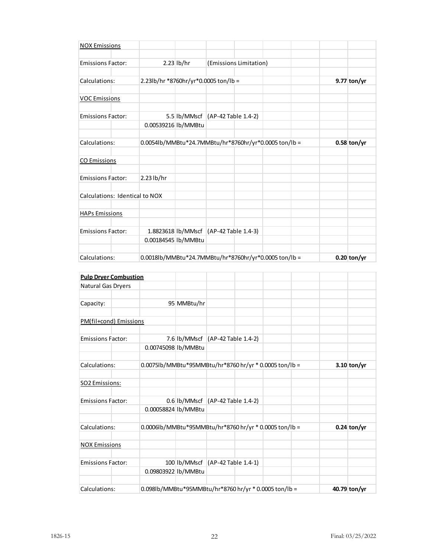| <b>NOX Emissions</b>           |                     |              |                                                       |  |               |
|--------------------------------|---------------------|--------------|-------------------------------------------------------|--|---------------|
| <b>Emissions Factor:</b>       |                     | $2.23$ lb/hr | (Emissions Limitation)                                |  |               |
| Calculations:                  |                     |              | 2.23lb/hr *8760hr/yr*0.0005 ton/lb =                  |  | 9.77 ton/yr   |
| <b>VOC Emissions</b>           |                     |              |                                                       |  |               |
| <b>Emissions Factor:</b>       |                     |              | 5.5 lb/MMscf (AP-42 Table 1.4-2)                      |  |               |
|                                | 0.00539216 lb/MMBtu |              |                                                       |  |               |
| Calculations:                  |                     |              | 0.0054lb/MMBtu*24.7MMBtu/hr*8760hr/yr*0.0005 ton/lb = |  | $0.58$ ton/yr |
| <b>CO Emissions</b>            |                     |              |                                                       |  |               |
| <b>Emissions Factor:</b>       | 2.23 lb/hr          |              |                                                       |  |               |
| Calculations: Identical to NOX |                     |              |                                                       |  |               |
| <b>HAPs Emissions</b>          |                     |              |                                                       |  |               |
| <b>Emissions Factor:</b>       |                     |              | 1.8823618 lb/MMscf (AP-42 Table 1.4-3)                |  |               |
|                                | 0.00184545 lb/MMBtu |              |                                                       |  |               |
| Calculations:                  |                     |              | 0.0018lb/MMBtu*24.7MMBtu/hr*8760hr/yr*0.0005 ton/lb = |  | $0.20$ ton/yr |

| <b>Pulp Dryer Combustion</b> |                     |             |                                                        |               |
|------------------------------|---------------------|-------------|--------------------------------------------------------|---------------|
| Natural Gas Dryers           |                     |             |                                                        |               |
| Capacity:                    |                     | 95 MMBtu/hr |                                                        |               |
| PM(fil+cond) Emissions       |                     |             |                                                        |               |
| <b>Emissions Factor:</b>     |                     |             | 7.6 lb/MMscf (AP-42 Table 1.4-2)                       |               |
|                              | 0.00745098 lb/MMBtu |             |                                                        |               |
| Calculations:                |                     |             | 0.0075lb/MMBtu*95MMBtu/hr*8760 hr/yr * 0.0005 ton/lb = | $3.10$ ton/yr |
| SO2 Emissions:               |                     |             |                                                        |               |
| <b>Emissions Factor:</b>     |                     |             | 0.6 lb/MMscf (AP-42 Table 1.4-2)                       |               |
|                              | 0.00058824 lb/MMBtu |             |                                                        |               |
| Calculations:                |                     |             | 0.0006lb/MMBtu*95MMBtu/hr*8760 hr/yr * 0.0005 ton/lb = | $0.24$ ton/yr |
| <b>NOX Emissions</b>         |                     |             |                                                        |               |
| <b>Emissions Factor:</b>     |                     |             | 100 lb/MMscf (AP-42 Table 1.4-1)                       |               |
|                              | 0.09803922 lb/MMBtu |             |                                                        |               |
| Calculations:                |                     |             | 0.098lb/MMBtu*95MMBtu/hr*8760 hr/yr * 0.0005 ton/lb =  | 40.79 ton/yr  |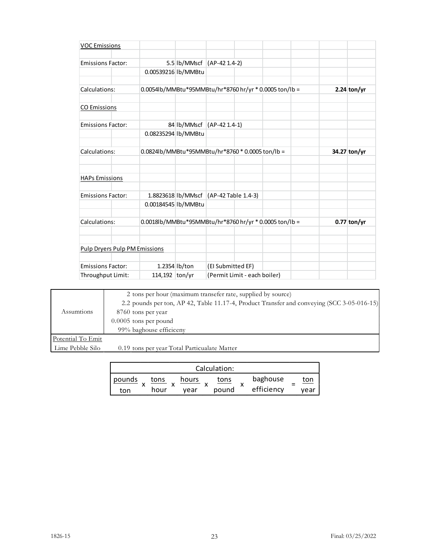| <b>VOC Emissions</b>          |                     |               |                                                        |  |               |
|-------------------------------|---------------------|---------------|--------------------------------------------------------|--|---------------|
| <b>Emissions Factor:</b>      |                     |               | 5.5 lb/MMscf (AP-42 1.4-2)                             |  |               |
|                               | 0.00539216 lb/MMBtu |               |                                                        |  |               |
| Calculations:                 |                     |               | 0.0054lb/MMBtu*95MMBtu/hr*8760 hr/yr * 0.0005 ton/lb = |  | 2.24 ton/yr   |
| <b>CO Emissions</b>           |                     |               |                                                        |  |               |
| <b>Emissions Factor:</b>      |                     |               | 84 lb/MMscf (AP-42 1.4-1)                              |  |               |
|                               | 0.08235294 lb/MMBtu |               |                                                        |  |               |
| Calculations:                 |                     |               | 0.0824lb/MMBtu*95MMBtu/hr*8760 * 0.0005 ton/lb =       |  | 34.27 ton/yr  |
| <b>HAPs Emissions</b>         |                     |               |                                                        |  |               |
| <b>Emissions Factor:</b>      |                     |               | 1.8823618 lb/MMscf (AP-42 Table 1.4-3)                 |  |               |
|                               | 0.00184545 lb/MMBtu |               |                                                        |  |               |
| Calculations:                 |                     |               | 0.0018lb/MMBtu*95MMBtu/hr*8760 hr/yr * 0.0005 ton/lb = |  | $0.77$ ton/yr |
|                               |                     |               |                                                        |  |               |
| Pulp Dryers Pulp PM Emissions |                     |               |                                                        |  |               |
| <b>Emissions Factor:</b>      |                     | 1.2354 lb/ton | (El Submitted EF)                                      |  |               |
| Throughput Limit:             | 114,192 ton/yr      |               | (Permit Limit - each boiler)                           |  |               |

|                   | 2 tons per hour (maximum transefer rate, supplied by source)                               |
|-------------------|--------------------------------------------------------------------------------------------|
|                   | 2.2 pounds per ton, AP 42, Table 11.17-4, Product Transfer and conveying (SCC 3-05-016-15) |
| Assumtions        | 8760 tons per year                                                                         |
|                   | $0.0005$ tons per pound                                                                    |
|                   | 99% baghouse efficiceny                                                                    |
| Potential To Emit |                                                                                            |
| Lime Pebble Silo  | 0.19 tons per year Total Particualate Matter                                               |

|        |      |       | Calculation: |            |      |
|--------|------|-------|--------------|------------|------|
| pounds | tons | hours | tons         | baghouse   | ton  |
| ton    | hour | vear  | pound        | efficiency | vear |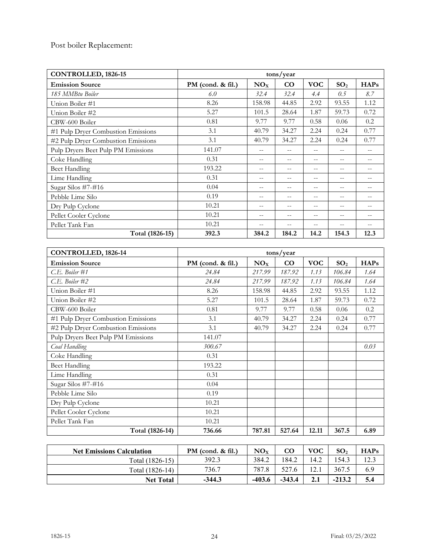Post boiler Replacement:

| CONTROLLED, 1826-15                | tons/year           |                   |                   |            |                   |             |  |
|------------------------------------|---------------------|-------------------|-------------------|------------|-------------------|-------------|--|
| <b>Emission Source</b>             | PM (cond. $&$ fil.) | NO <sub>X</sub>   | CO                | <b>VOC</b> | SO <sub>2</sub>   | <b>HAPs</b> |  |
| 185 MMBtu Boiler                   | 6.0                 | 32.4              | 32.4              | 4.4        | 0.5               | 8.7         |  |
| Union Boiler #1                    | 8.26                | 158.98            | 44.85             | 2.92       | 93.55             | 1.12        |  |
| Union Boiler #2                    | 5.27                | 101.5             | 28.64             | 1.87       | 59.73             | 0.72        |  |
| CBW-600 Boiler                     | 0.81                | 9.77              | 9.77              | 0.58       | 0.06              | 0.2         |  |
| #1 Pulp Dryer Combustion Emissions | 3.1                 | 40.79             | 34.27             | 2.24       | 0.24              | 0.77        |  |
| #2 Pulp Dryer Combustion Emissions | 3.1                 | 40.79             | 34.27             | 2.24       | 0.24              | 0.77        |  |
| Pulp Dryers Beet Pulp PM Emissions | 141.07              | $-$               | $ -$              | $-$        | $- -$             |             |  |
| Coke Handling                      | 0.31                | $- -$             | $\qquad \qquad -$ | $- -$      | $\qquad \qquad -$ | --          |  |
| <b>Beet Handling</b>               | 193.22              | $\qquad \qquad -$ | $\qquad \qquad -$ | $- -$      | $- -$             | --          |  |
| Lime Handling                      | 0.31                | $-$               | $\qquad \qquad -$ | $-$        | $- -$             | $- -$       |  |
| Sugar Silos #7-#16                 | 0.04                | $- -$             | --                | --         | $\qquad \qquad -$ |             |  |
| Pebble Lime Silo                   | 0.19                | $- -$             | --                | --         | $\qquad \qquad -$ |             |  |
| Dry Pulp Cyclone                   | 10.21               | $-$               | $-$               | $-$        | $-$               | $ -$        |  |
| Pellet Cooler Cyclone              | 10.21               | $- -$             | $- -$             | $- -$      | $\qquad \qquad -$ | --          |  |
| Pellet Tank Fan                    | 10.21               | $- -$             | $ -$              | --         | $\qquad \qquad -$ |             |  |
| Total (1826-15)                    | 392.3               | 384.2             | 184.2             | 14.2       | 154.3             | 12.3        |  |

| CONTROLLED, 1826-14                | tons/year         |                 |          |            |                 |             |
|------------------------------------|-------------------|-----------------|----------|------------|-----------------|-------------|
| <b>Emission Source</b>             | PM (cond. & fil.) | NO <sub>X</sub> | $\rm CO$ | <b>VOC</b> | SO <sub>2</sub> | <b>HAPs</b> |
| $C.E.$ Boiler #1                   | 24.84             | 217.99          | 187.92   | 1.13       | 106.84          | 1.64        |
| C.E. Boiler #2                     | 24.84             | 217.99          | 187.92   | 1.13       | 106.84          | 1.64        |
| Union Boiler #1                    | 8.26              | 158.98          | 44.85    | 2.92       | 93.55           | 1.12        |
| Union Boiler #2                    | 5.27              | 101.5           | 28.64    | 1.87       | 59.73           | 0.72        |
| CBW-600 Boiler                     | 0.81              | 9.77            | 9.77     | 0.58       | 0.06            | 0.2         |
| #1 Pulp Dryer Combustion Emissions | 3.1               | 40.79           | 34.27    | 2.24       | 0.24            | 0.77        |
| #2 Pulp Dryer Combustion Emissions | 3.1               | 40.79           | 34.27    | 2.24       | 0.24            | 0.77        |
| Pulp Dryers Beet Pulp PM Emissions | 141.07            |                 |          |            |                 |             |
| Coal Handling                      | 300.67            |                 |          |            |                 | 0.03        |
| Coke Handling                      | 0.31              |                 |          |            |                 |             |
| <b>Beet Handling</b>               | 193.22            |                 |          |            |                 |             |
| Lime Handling                      | 0.31              |                 |          |            |                 |             |
| Sugar Silos #7-#16                 | 0.04              |                 |          |            |                 |             |
| Pebble Lime Silo                   | 0.19              |                 |          |            |                 |             |
| Dry Pulp Cyclone                   | 10.21             |                 |          |            |                 |             |
| Pellet Cooler Cyclone              | 10.21             |                 |          |            |                 |             |
| Pellet Tank Fan                    | 10.21             |                 |          |            |                 |             |
| Total (1826-14)                    | 736.66            | 787.81          | 527.64   | 12.11      | 367.5           | 6.89        |

| <b>Net Emissions Calculation</b> | $PM$ (cond. & fil.) | NO <sub>x</sub> | $\rm{CO}$ | <b>VOC</b>               | SO <sub>2</sub> | HAPs |
|----------------------------------|---------------------|-----------------|-----------|--------------------------|-----------------|------|
| Total $(1826-15)$                | 392.3               | 384.2           | 184.2     | 14.2                     | .54.3           | 12.3 |
| Total (1826-14)                  | 736.7               | 787.8           | 527.6     | $\left 2_{\cdot}\right $ | 367.5           | 6.9  |
| <b>Net Total</b>                 | $-344.3$            | $-403.6$        | $-343.4$  | 2.1                      | $-213.2$        | 5.4  |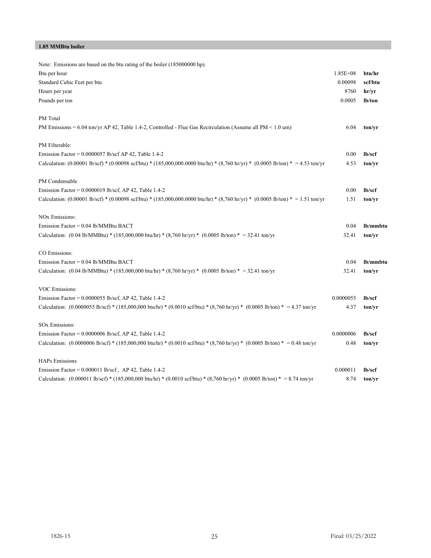#### **1.85 MMBtu boiler**

| Note: Emissions are based on the btu rating of the boiler (185000000 hp).                                                                                                         |              |                     |
|-----------------------------------------------------------------------------------------------------------------------------------------------------------------------------------|--------------|---------------------|
| Btu per hour                                                                                                                                                                      | $1.85E + 08$ | btu/hr              |
| Standard Cubic Feet per btu                                                                                                                                                       | 0.00098      | scf/btu             |
| Hours per year                                                                                                                                                                    | 8760         | hr/yr               |
| Pounds per ton                                                                                                                                                                    | 0.0005       | lb/ton              |
| PM Total                                                                                                                                                                          |              |                     |
| PM Emissions = $6.04$ ton/yr AP 42, Table 1.4-2, Controlled - Flue Gas Recirculation (Assume all PM $\leq$ 1.0 um)                                                                | 6.04         | ton/yr              |
| PM Filterable:                                                                                                                                                                    |              |                     |
| Emission Factor = $0.0000057$ lb/scf AP 42, Table 1.4-2                                                                                                                           | 0.00         | 1 <sub>b</sub> /scf |
| Calculation: $(0.00001 \text{ lb/scf}) * (0.00098 \text{ scf/btu}) * (185,000,000.0000 \text{ btu/hr}) * (8,760 \text{ hr/yr}) * (0.0005 \text{ lb/ton}) * = 4.53 \text{ ton/yr}$ | 4.53         | ton/vr              |
| PM Condensable                                                                                                                                                                    |              |                     |
| Emission Factor = $0.0000019$ lb/scf, AP 42, Table 1.4-2                                                                                                                          | 0.00         | lb/scf              |
| Calculation: $(0.00001 \text{ lb/scf}) * (0.00098 \text{ scf/btu}) * (185,000,000.0000 \text{ but/hr}) * (8,760 \text{ hr/yr}) * (0.0005 \text{ lb/ton}) * = 1.51 \text{ ton/yr}$ | 1.51         | ton/yr              |
| <b>NOx Emissions:</b>                                                                                                                                                             |              |                     |
| Emission Factor = 0.04 lb/MMBtu BACT                                                                                                                                              | 0.04         | lb/mmbtu            |
| Calculation: $(0.04 \text{ lb/MMBtu}) * (185,000,000 \text{ btu/hr}) * (8,760 \text{ hr/yr}) * (0.0005 \text{ lb/ton}) * = 32.41 \text{ ton/yr}$                                  | 32.41        | ton/yr              |
| CO Emissions:                                                                                                                                                                     |              |                     |
| Emission Factor = 0.04 lb/MMBtu BACT                                                                                                                                              | 0.04         | lb/mmbtu            |
| Calculation: $(0.04 \text{ lb}/\text{MMBtu})$ * $(185,000,000 \text{ bu/hr})$ * $(8,760 \text{ hr/yr})$ * $(0.0005 \text{ lb/ton})$ * = 32.41 ton/yr                              | 32.41        | ton/vr              |
| VOC Emissions:                                                                                                                                                                    |              |                     |
| Emission Factor = $0.0000055$ lb/scf, AP 42, Table 1.4-2                                                                                                                          | 0.0000055    | lb/scf              |
| Calculation: $(0.0000055 \text{ lb/scf}) * (185,000,000 \text{ btu/hr}) * (0.0010 \text{ scf/btu}) * (8,760 \text{ hr/yr}) * (0.0005 \text{ lb/ton}) * = 4.37 \text{ ton/yr}$     | 4.37         | ton/yr              |
| <b>SOx Emissions:</b>                                                                                                                                                             |              |                     |
| Emission Factor = $0.0000006$ lb/scf, AP 42, Table 1.4-2                                                                                                                          | 0.0000006    | 1 <sub>b</sub> /scf |
| Calculation: $(0.0000006 \text{ lb/scf})$ * $(185,000,000 \text{ btu/hr})$ * $(0.0010 \text{ scf/btu})$ * $(8,760 \text{ hr/yr})$ * $(0.0005 \text{ lb/ton})$ * = 0.48 ton/yr     | 0.48         | ton/yr              |
| <b>HAPs Emissions</b>                                                                                                                                                             |              |                     |
| Emission Factor = $0.000011$ lb/scf, AP 42, Table 1.4-2                                                                                                                           | 0.000011     | lb/scf              |
| Calculation: (0.000011 lb/scf) * (185,000,000 btu/hr) * (0.0010 scf/btu) * (8,760 hr/yr) * (0.0005 lb/ton) * = 8.74 ton/yr                                                        | 8.74         | ton/yr              |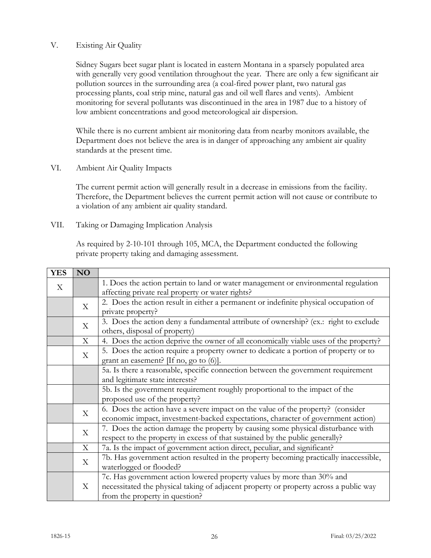# V. Existing Air Quality

Sidney Sugars beet sugar plant is located in eastern Montana in a sparsely populated area with generally very good ventilation throughout the year. There are only a few significant air pollution sources in the surrounding area (a coal-fired power plant, two natural gas processing plants, coal strip mine, natural gas and oil well flares and vents). Ambient monitoring for several pollutants was discontinued in the area in 1987 due to a history of low ambient concentrations and good meteorological air dispersion.

While there is no current ambient air monitoring data from nearby monitors available, the Department does not believe the area is in danger of approaching any ambient air quality standards at the present time.

VI. Ambient Air Quality Impacts

The current permit action will generally result in a decrease in emissions from the facility. Therefore, the Department believes the current permit action will not cause or contribute to a violation of any ambient air quality standard.

VII. Taking or Damaging Implication Analysis

As required by 2-10-101 through 105, MCA, the Department conducted the following private property taking and damaging assessment.

| <b>YES</b>   | N <sub>O</sub> |                                                                                       |
|--------------|----------------|---------------------------------------------------------------------------------------|
| $\mathbf{X}$ |                | 1. Does the action pertain to land or water management or environmental regulation    |
|              |                | affecting private real property or water rights?                                      |
|              | X              | 2. Does the action result in either a permanent or indefinite physical occupation of  |
|              |                | private property?                                                                     |
|              | X              | 3. Does the action deny a fundamental attribute of ownership? (ex.: right to exclude  |
|              |                | others, disposal of property)                                                         |
|              | X              | 4. Does the action deprive the owner of all economically viable uses of the property? |
|              | $\mathbf X$    | 5. Does the action require a property owner to dedicate a portion of property or to   |
|              |                | grant an easement? $[If no, go to (6)].$                                              |
|              |                | 5a. Is there a reasonable, specific connection between the government requirement     |
|              |                | and legitimate state interests?                                                       |
|              |                | 5b. Is the government requirement roughly proportional to the impact of the           |
|              |                | proposed use of the property?                                                         |
|              | X              | 6. Does the action have a severe impact on the value of the property? (consider       |
|              |                | economic impact, investment-backed expectations, character of government action)      |
|              | X              | 7. Does the action damage the property by causing some physical disturbance with      |
|              |                | respect to the property in excess of that sustained by the public generally?          |
|              | X              | 7a. Is the impact of government action direct, peculiar, and significant?             |
|              | $\mathbf X$    | 7b. Has government action resulted in the property becoming practically inaccessible, |
|              |                | waterlogged or flooded?                                                               |
|              |                | 7c. Has government action lowered property values by more than 30% and                |
|              | X              | necessitated the physical taking of adjacent property or property across a public way |
|              |                | from the property in question?                                                        |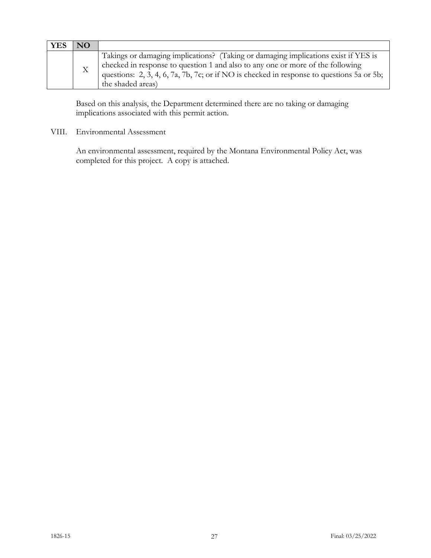| YES | NΟ |                                                                                                                                                                                                                                                                                        |
|-----|----|----------------------------------------------------------------------------------------------------------------------------------------------------------------------------------------------------------------------------------------------------------------------------------------|
|     |    | Takings or damaging implications? (Taking or damaging implications exist if YES is<br>checked in response to question 1 and also to any one or more of the following<br>questions: 2, 3, 4, 6, 7a, 7b, 7c; or if NO is checked in response to questions 5a or 5b;<br>the shaded areas) |

Based on this analysis, the Department determined there are no taking or damaging implications associated with this permit action.

VIII. Environmental Assessment

An environmental assessment, required by the Montana Environmental Policy Act, was completed for this project. A copy is attached.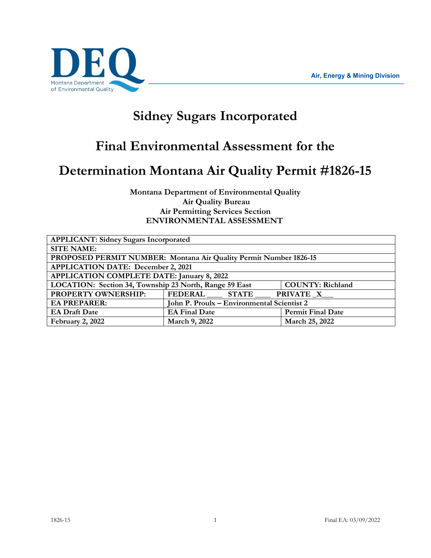

# **Sidney Sugars Incorporated**

# **Final Environmental Assessment for the**

# **Determination Montana Air Quality Permit #1826-15**

**Montana Department of Environmental Quality Air Quality Bureau Air Permitting Services Section ENVIRONMENTAL ASSESSMENT**

| <b>APPLICANT: Sidney Sugars Incorporated</b>                      |                                            |                          |  |
|-------------------------------------------------------------------|--------------------------------------------|--------------------------|--|
| <b>SITE NAME:</b>                                                 |                                            |                          |  |
| PROPOSED PERMIT NUMBER: Montana Air Quality Permit Number 1826-15 |                                            |                          |  |
| <b>APPLICATION DATE: December 2, 2021</b>                         |                                            |                          |  |
| <b>APPLICATION COMPLETE DATE: January 8, 2022</b>                 |                                            |                          |  |
| LOCATION: Section 34, Township 23 North, Range 59 East            |                                            | <b>COUNTY: Richland</b>  |  |
| PROPERTY OWNERSHIP:                                               | FEDERAL STATE                              | <b>PRIVATE_X_</b>        |  |
| <b>EA PREPARER:</b>                                               | John P. Proulx - Environmental Scientist 2 |                          |  |
| <b>EA Draft Date</b>                                              | <b>EA Final Date</b>                       | <b>Permit Final Date</b> |  |
| February 2, 2022                                                  | March 9, 2022                              | March 25, 2022           |  |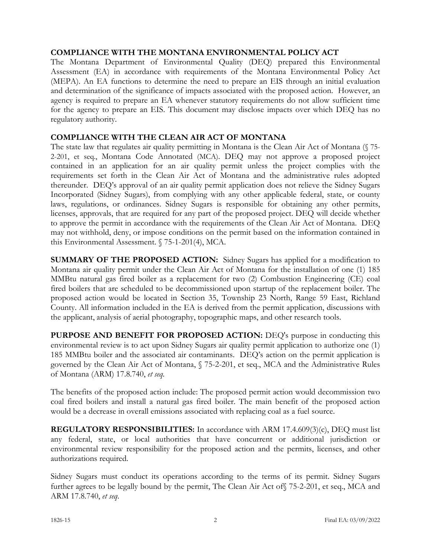# **COMPLIANCE WITH THE MONTANA ENVIRONMENTAL POLICY ACT**

The Montana Department of Environmental Quality (DEQ) prepared this Environmental Assessment (EA) in accordance with requirements of the Montana Environmental Policy Act (MEPA). An EA functions to determine the need to prepare an EIS through an initial evaluation and determination of the significance of impacts associated with the proposed action. However, an agency is required to prepare an EA whenever statutory requirements do not allow sufficient time for the agency to prepare an EIS. This document may disclose impacts over which DEQ has no regulatory authority.

# **COMPLIANCE WITH THE CLEAN AIR ACT OF MONTANA**

The state law that regulates air quality permitting in Montana is the Clean Air Act of Montana (§ 75- 2-201, et seq., Montana Code Annotated (MCA). DEQ may not approve a proposed project contained in an application for an air quality permit unless the project complies with the requirements set forth in the Clean Air Act of Montana and the administrative rules adopted thereunder. DEQ's approval of an air quality permit application does not relieve the Sidney Sugars Incorporated (Sidney Sugars), from complying with any other applicable federal, state, or county laws, regulations, or ordinances. Sidney Sugars is responsible for obtaining any other permits, licenses, approvals, that are required for any part of the proposed project. DEQ will decide whether to approve the permit in accordance with the requirements of the Clean Air Act of Montana. DEQ may not withhold, deny, or impose conditions on the permit based on the information contained in this Environmental Assessment. § 75-1-201(4), MCA.

**SUMMARY OF THE PROPOSED ACTION:** Sidney Sugars has applied for a modification to Montana air quality permit under the Clean Air Act of Montana for the installation of one (1) 185 MMBtu natural gas fired boiler as a replacement for two (2) Combustion Engineering (CE) coal fired boilers that are scheduled to be decommissioned upon startup of the replacement boiler. The proposed action would be located in Section 35, Township 23 North, Range 59 East, Richland County. All information included in the EA is derived from the permit application, discussions with the applicant, analysis of aerial photography, topographic maps, and other research tools.

PURPOSE AND BENEFIT FOR PROPOSED ACTION: DEQ's purpose in conducting this environmental review is to act upon Sidney Sugars air quality permit application to authorize one (1) 185 MMBtu boiler and the associated air contaminants. DEQ's action on the permit application is governed by the Clean Air Act of Montana, § 75-2-201, et seq., MCA and the Administrative Rules of Montana (ARM) 17.8.740, *et seq.*

The benefits of the proposed action include: The proposed permit action would decommission two coal fired boilers and install a natural gas fired boiler. The main benefit of the proposed action would be a decrease in overall emissions associated with replacing coal as a fuel source.

**REGULATORY RESPONSIBILITIES:** In accordance with ARM 17.4.609(3)(c), DEQ must list any federal, state, or local authorities that have concurrent or additional jurisdiction or environmental review responsibility for the proposed action and the permits, licenses, and other authorizations required.

Sidney Sugars must conduct its operations according to the terms of its permit. Sidney Sugars further agrees to be legally bound by the permit, The Clean Air Act of§ 75-2-201, et seq., MCA and ARM 17.8.740, *et seq*.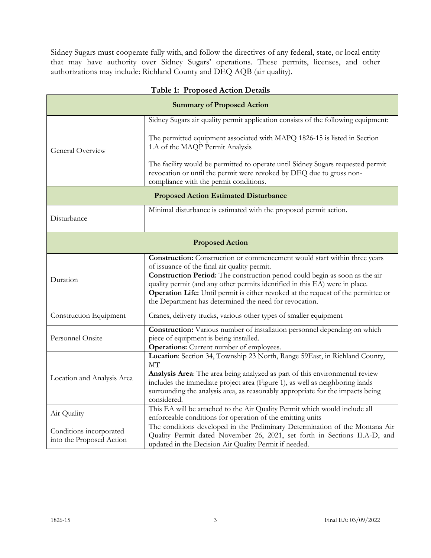Sidney Sugars must cooperate fully with, and follow the directives of any federal, state, or local entity that may have authority over Sidney Sugars' operations. These permits, licenses, and other authorizations may include: Richland County and DEQ AQB (air quality).

| <b>Summary of Proposed Action</b>                   |                                                                                                                                                                                                   |  |
|-----------------------------------------------------|---------------------------------------------------------------------------------------------------------------------------------------------------------------------------------------------------|--|
|                                                     | Sidney Sugars air quality permit application consists of the following equipment:                                                                                                                 |  |
| General Overview                                    |                                                                                                                                                                                                   |  |
|                                                     | The permitted equipment associated with MAPQ 1826-15 is listed in Section<br>1.A of the MAQP Permit Analysis                                                                                      |  |
|                                                     | The facility would be permitted to operate until Sidney Sugars requested permit<br>revocation or until the permit were revoked by DEQ due to gross non-<br>compliance with the permit conditions. |  |
| <b>Proposed Action Estimated Disturbance</b>        |                                                                                                                                                                                                   |  |
|                                                     | Minimal disturbance is estimated with the proposed permit action.                                                                                                                                 |  |
| Disturbance                                         |                                                                                                                                                                                                   |  |
| <b>Proposed Action</b>                              |                                                                                                                                                                                                   |  |
| Duration                                            | <b>Construction:</b> Construction or commencement would start within three years                                                                                                                  |  |
|                                                     | of issuance of the final air quality permit.<br>Construction Period: The construction period could begin as soon as the air                                                                       |  |
|                                                     | quality permit (and any other permits identified in this EA) were in place.                                                                                                                       |  |
|                                                     | Operation Life: Until permit is either revoked at the request of the permittee or                                                                                                                 |  |
|                                                     | the Department has determined the need for revocation.                                                                                                                                            |  |
| Construction Equipment                              | Cranes, delivery trucks, various other types of smaller equipment                                                                                                                                 |  |
| Personnel Onsite                                    | Construction: Various number of installation personnel depending on which                                                                                                                         |  |
|                                                     | piece of equipment is being installed.                                                                                                                                                            |  |
|                                                     | <b>Operations:</b> Current number of employees.<br>Location: Section 34, Township 23 North, Range 59East, in Richland County,                                                                     |  |
| Location and Analysis Area                          | МT                                                                                                                                                                                                |  |
|                                                     | Analysis Area: The area being analyzed as part of this environmental review                                                                                                                       |  |
|                                                     | includes the immediate project area (Figure 1), as well as neighboring lands                                                                                                                      |  |
|                                                     | surrounding the analysis area, as reasonably appropriate for the impacts being<br>considered.                                                                                                     |  |
| Air Quality                                         | This EA will be attached to the Air Quality Permit which would include all                                                                                                                        |  |
|                                                     | enforceable conditions for operation of the emitting units                                                                                                                                        |  |
| Conditions incorporated<br>into the Proposed Action | The conditions developed in the Preliminary Determination of the Montana Air<br>Quality Permit dated November 26, 2021, set forth in Sections II.A-D, and                                         |  |
|                                                     | updated in the Decision Air Quality Permit if needed.                                                                                                                                             |  |

# **Table 1: Proposed Action Details**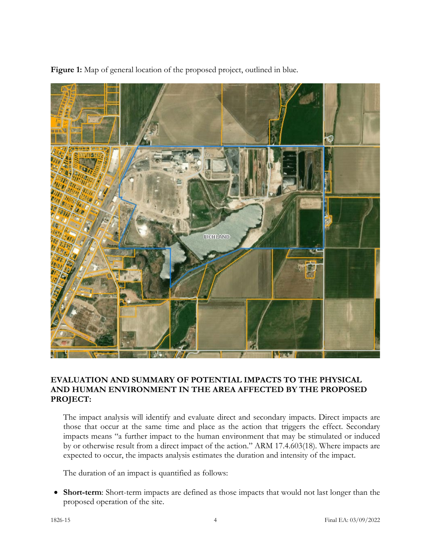

**Figure 1:** Map of general location of the proposed project, outlined in blue.

# **EVALUATION AND SUMMARY OF POTENTIAL IMPACTS TO THE PHYSICAL AND HUMAN ENVIRONMENT IN THE AREA AFFECTED BY THE PROPOSED PROJECT:**

The impact analysis will identify and evaluate direct and secondary impacts. Direct impacts are those that occur at the same time and place as the action that triggers the effect. Secondary impacts means "a further impact to the human environment that may be stimulated or induced by or otherwise result from a direct impact of the action." ARM 17.4.603(18). Where impacts are expected to occur, the impacts analysis estimates the duration and intensity of the impact.

The duration of an impact is quantified as follows:

• **Short-term**: Short-term impacts are defined as those impacts that would not last longer than the proposed operation of the site.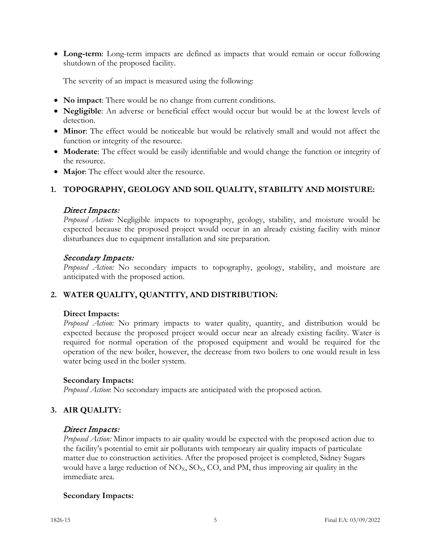• **Long-term**: Long-term impacts are defined as impacts that would remain or occur following shutdown of the proposed facility.

The severity of an impact is measured using the following:

- **No impact**: There would be no change from current conditions.
- **Negligible**: An adverse or beneficial effect would occur but would be at the lowest levels of detection.
- **Minor**: The effect would be noticeable but would be relatively small and would not affect the function or integrity of the resource.
- **Moderate**: The effect would be easily identifiable and would change the function or integrity of the resource.
- **Major**: The effect would alter the resource.

# **1. TOPOGRAPHY, GEOLOGY AND SOIL QUALITY, STABILITY AND MOISTURE:**

#### Direct Impacts:

*Proposed Action:* Negligible impacts to topography, geology, stability, and moisture would be expected because the proposed project would occur in an already existing facility with minor disturbances due to equipment installation and site preparation.

### Secondary Impacts:

*Proposed Action:* No secondary impacts to topography, geology, stability, and moisture are anticipated with the proposed action.

# **2. WATER QUALITY, QUANTITY, AND DISTRIBUTION:**

#### **Direct Impacts:**

*Proposed Action:* No primary impacts to water quality, quantity, and distribution would be expected because the proposed project would occur near an already existing facility. Water is required for normal operation of the proposed equipment and would be required for the operation of the new boiler, however, the decrease from two boilers to one would result in less water being used in the boiler system.

# **Secondary Impacts:**

*Proposed Action*: No secondary impacts are anticipated with the proposed action.

# **3. AIR QUALITY:**

#### Direct Impacts:

*Proposed Action:* Minor impacts to air quality would be expected with the proposed action due to the facility's potential to emit air pollutants with temporary air quality impacts of particulate matter due to construction activities. After the proposed project is completed, Sidney Sugars would have a large reduction of  $NO_x$ ,  $SO_x$ ,  $CO$ , and PM, thus improving air quality in the immediate area.

# **Secondary Impacts:**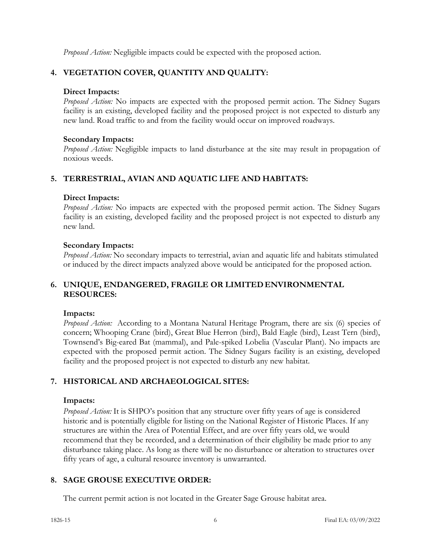*Proposed Action:* Negligible impacts could be expected with the proposed action.

# **4. VEGETATION COVER, QUANTITY AND QUALITY:**

# **Direct Impacts:**

*Proposed Action:* No impacts are expected with the proposed permit action. The Sidney Sugars facility is an existing, developed facility and the proposed project is not expected to disturb any new land. Road traffic to and from the facility would occur on improved roadways.

# **Secondary Impacts:**

*Proposed Action:* Negligible impacts to land disturbance at the site may result in propagation of noxious weeds.

# **5. TERRESTRIAL, AVIAN AND AQUATIC LIFE AND HABITATS:**

# **Direct Impacts:**

*Proposed Action:* No impacts are expected with the proposed permit action. The Sidney Sugars facility is an existing, developed facility and the proposed project is not expected to disturb any new land.

# **Secondary Impacts:**

*Proposed Action:* No secondary impacts to terrestrial, avian and aquatic life and habitats stimulated or induced by the direct impacts analyzed above would be anticipated for the proposed action.

# **6. UNIQUE, ENDANGERED, FRAGILE OR LIMITEDENVIRONMENTAL RESOURCES:**

# **Impacts:**

*Proposed Action:* According to a Montana Natural Heritage Program, there are six (6) species of concern; Whooping Crane (bird), Great Blue Herron (bird), Bald Eagle (bird), Least Tern (bird), Townsend's Big-eared Bat (mammal), and Pale-spiked Lobelia (Vascular Plant). No impacts are expected with the proposed permit action. The Sidney Sugars facility is an existing, developed facility and the proposed project is not expected to disturb any new habitat.

# **7. HISTORICAL AND ARCHAEOLOGICAL SITES:**

# **Impacts:**

*Proposed Action:* It is SHPO's position that any structure over fifty years of age is considered historic and is potentially eligible for listing on the National Register of Historic Places. If any structures are within the Area of Potential Effect, and are over fifty years old, we would recommend that they be recorded, and a determination of their eligibility be made prior to any disturbance taking place. As long as there will be no disturbance or alteration to structures over fifty years of age, a cultural resource inventory is unwarranted.

# **8. SAGE GROUSE EXECUTIVE ORDER:**

The current permit action is not located in the Greater Sage Grouse habitat area.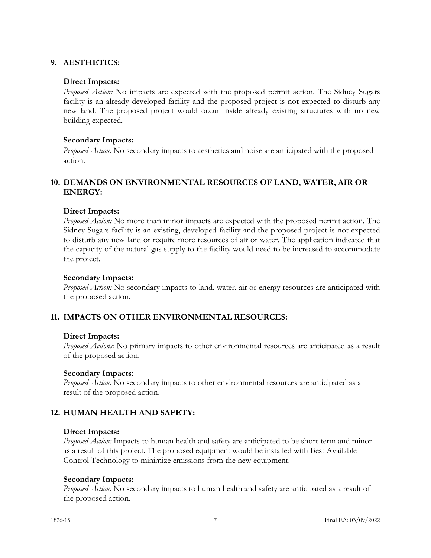# **9. AESTHETICS:**

## **Direct Impacts:**

*Proposed Action:* No impacts are expected with the proposed permit action. The Sidney Sugars facility is an already developed facility and the proposed project is not expected to disturb any new land. The proposed project would occur inside already existing structures with no new building expected.

### **Secondary Impacts:**

*Proposed Action:* No secondary impacts to aesthetics and noise are anticipated with the proposed action.

# **10. DEMANDS ON ENVIRONMENTAL RESOURCES OF LAND, WATER, AIR OR ENERGY:**

### **Direct Impacts:**

*Proposed Action:* No more than minor impacts are expected with the proposed permit action. The Sidney Sugars facility is an existing, developed facility and the proposed project is not expected to disturb any new land or require more resources of air or water. The application indicated that the capacity of the natural gas supply to the facility would need to be increased to accommodate the project.

#### **Secondary Impacts:**

*Proposed Action:* No secondary impacts to land, water, air or energy resources are anticipated with the proposed action.

# **11. IMPACTS ON OTHER ENVIRONMENTAL RESOURCES:**

#### **Direct Impacts:**

*Proposed Actions:* No primary impacts to other environmental resources are anticipated as a result of the proposed action.

#### **Secondary Impacts:**

*Proposed Action:* No secondary impacts to other environmental resources are anticipated as a result of the proposed action.

# **12. HUMAN HEALTH AND SAFETY:**

#### **Direct Impacts:**

*Proposed Action:* Impacts to human health and safety are anticipated to be short-term and minor as a result of this project. The proposed equipment would be installed with Best Available Control Technology to minimize emissions from the new equipment.

#### **Secondary Impacts:**

*Proposed Action:* No secondary impacts to human health and safety are anticipated as a result of the proposed action.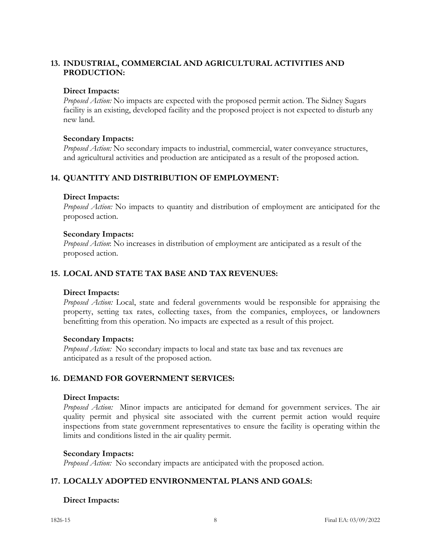# **13. INDUSTRIAL, COMMERCIAL AND AGRICULTURAL ACTIVITIES AND PRODUCTION:**

### **Direct Impacts:**

*Proposed Action:* No impacts are expected with the proposed permit action. The Sidney Sugars facility is an existing, developed facility and the proposed project is not expected to disturb any new land.

### **Secondary Impacts:**

*Proposed Action:* No secondary impacts to industrial, commercial, water conveyance structures, and agricultural activities and production are anticipated as a result of the proposed action.

# **14. QUANTITY AND DISTRIBUTION OF EMPLOYMENT:**

### **Direct Impacts:**

*Proposed Action:* No impacts to quantity and distribution of employment are anticipated for the proposed action.

### **Secondary Impacts:**

*Proposed Action*: No increases in distribution of employment are anticipated as a result of the proposed action.

### **15. LOCAL AND STATE TAX BASE AND TAX REVENUES:**

#### **Direct Impacts:**

*Proposed Action:* Local, state and federal governments would be responsible for appraising the property, setting tax rates, collecting taxes, from the companies, employees, or landowners benefitting from this operation. No impacts are expected as a result of this project.

#### **Secondary Impacts:**

*Proposed Action:* No secondary impacts to local and state tax base and tax revenues are anticipated as a result of the proposed action.

# **16. DEMAND FOR GOVERNMENT SERVICES:**

#### **Direct Impacts:**

*Proposed Action:* Minor impacts are anticipated for demand for government services. The air quality permit and physical site associated with the current permit action would require inspections from state government representatives to ensure the facility is operating within the limits and conditions listed in the air quality permit.

#### **Secondary Impacts:**

*Proposed Action:* No secondary impacts are anticipated with the proposed action.

# **17. LOCALLY ADOPTED ENVIRONMENTAL PLANS AND GOALS:**

# **Direct Impacts:**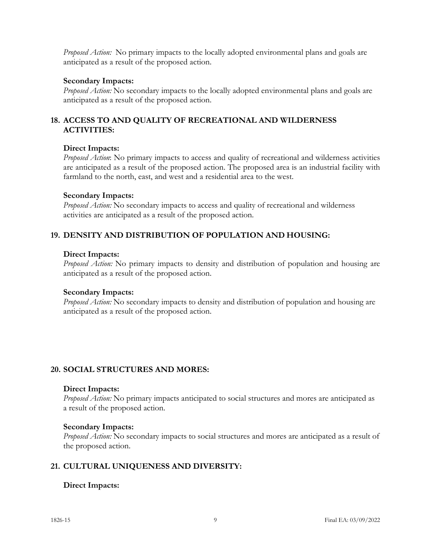*Proposed Action:* No primary impacts to the locally adopted environmental plans and goals are anticipated as a result of the proposed action.

### **Secondary Impacts:**

*Proposed Action:* No secondary impacts to the locally adopted environmental plans and goals are anticipated as a result of the proposed action.

# **18. ACCESS TO AND QUALITY OF RECREATIONAL AND WILDERNESS ACTIVITIES:**

### **Direct Impacts:**

*Proposed Action*: No primary impacts to access and quality of recreational and wilderness activities are anticipated as a result of the proposed action. The proposed area is an industrial facility with farmland to the north, east, and west and a residential area to the west.

### **Secondary Impacts:**

*Proposed Action:* No secondary impacts to access and quality of recreational and wilderness activities are anticipated as a result of the proposed action.

# **19. DENSITY AND DISTRIBUTION OF POPULATION AND HOUSING:**

### **Direct Impacts:**

*Proposed Action:* No primary impacts to density and distribution of population and housing are anticipated as a result of the proposed action.

#### **Secondary Impacts:**

*Proposed Action:* No secondary impacts to density and distribution of population and housing are anticipated as a result of the proposed action.

# **20. SOCIAL STRUCTURES AND MORES:**

#### **Direct Impacts:**

*Proposed Action:* No primary impacts anticipated to social structures and mores are anticipated as a result of the proposed action.

#### **Secondary Impacts:**

*Proposed Action:* No secondary impacts to social structures and mores are anticipated as a result of the proposed action.

# **21. CULTURAL UNIQUENESS AND DIVERSITY:**

# **Direct Impacts:**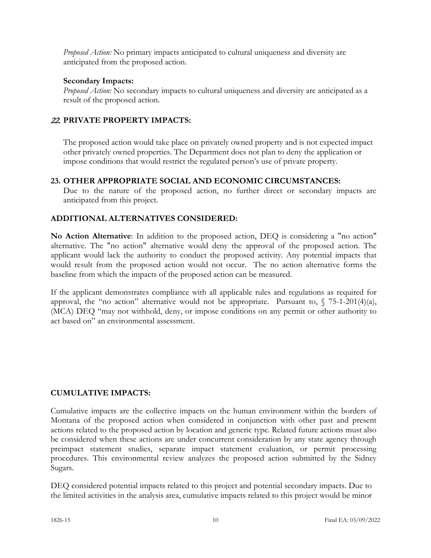*Proposed Action:* No primary impacts anticipated to cultural uniqueness and diversity are anticipated from the proposed action.

# **Secondary Impacts:**

*Proposed Action:* No secondary impacts to cultural uniqueness and diversity are anticipated as a result of the proposed action.

# 22. **PRIVATE PROPERTY IMPACTS:**

The proposed action would take place on privately owned property and is not expected impact other privately owned properties. The Department does not plan to deny the application or impose conditions that would restrict the regulated person's use of private property.

# **23. OTHER APPROPRIATE SOCIAL AND ECONOMIC CIRCUMSTANCES:**

Due to the nature of the proposed action, no further direct or secondary impacts are anticipated from this project.

# **ADDITIONAL ALTERNATIVES CONSIDERED:**

**No Action Alternative**: In addition to the proposed action, DEQ is considering a "no action" alternative. The "no action" alternative would deny the approval of the proposed action. The applicant would lack the authority to conduct the proposed activity. Any potential impacts that would result from the proposed action would not occur. The no action alternative forms the baseline from which the impacts of the proposed action can be measured.

If the applicant demonstrates compliance with all applicable rules and regulations as required for approval, the "no action" alternative would not be appropriate. Pursuant to,  $\int$  75-1-201(4)(a), (MCA) DEQ "may not withhold, deny, or impose conditions on any permit or other authority to act based on" an environmental assessment.

# **CUMULATIVE IMPACTS:**

Cumulative impacts are the collective impacts on the human environment within the borders of Montana of the proposed action when considered in conjunction with other past and present actions related to the proposed action by location and generic type. Related future actions must also be considered when these actions are under concurrent consideration by any state agency through preimpact statement studies, separate impact statement evaluation, or permit processing procedures. This environmental review analyzes the proposed action submitted by the Sidney Sugars.

DEQ considered potential impacts related to this project and potential secondary impacts. Due to the limited activities in the analysis area, cumulative impacts related to this project would be minor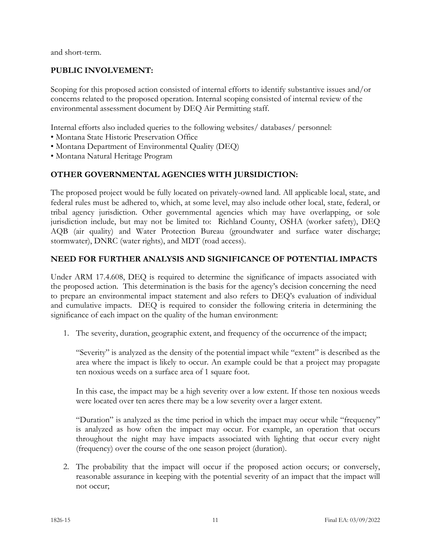and short-term.

# **PUBLIC INVOLVEMENT:**

Scoping for this proposed action consisted of internal efforts to identify substantive issues and/or concerns related to the proposed operation. Internal scoping consisted of internal review of the environmental assessment document by DEQ Air Permitting staff.

Internal efforts also included queries to the following websites/ databases/ personnel:

- Montana State Historic Preservation Office
- Montana Department of Environmental Quality (DEQ)
- Montana Natural Heritage Program

# **OTHER GOVERNMENTAL AGENCIES WITH JURSIDICTION:**

The proposed project would be fully located on privately-owned land. All applicable local, state, and federal rules must be adhered to, which, at some level, may also include other local, state, federal, or tribal agency jurisdiction. Other governmental agencies which may have overlapping, or sole jurisdiction include, but may not be limited to: Richland County, OSHA (worker safety), DEQ AQB (air quality) and Water Protection Bureau (groundwater and surface water discharge; stormwater), DNRC (water rights), and MDT (road access).

# **NEED FOR FURTHER ANALYSIS AND SIGNIFICANCE OF POTENTIAL IMPACTS**

Under ARM 17.4.608, DEQ is required to determine the significance of impacts associated with the proposed action. This determination is the basis for the agency's decision concerning the need to prepare an environmental impact statement and also refers to DEQ's evaluation of individual and cumulative impacts. DEQ is required to consider the following criteria in determining the significance of each impact on the quality of the human environment:

1. The severity, duration, geographic extent, and frequency of the occurrence of the impact;

"Severity" is analyzed as the density of the potential impact while "extent" is described as the area where the impact is likely to occur. An example could be that a project may propagate ten noxious weeds on a surface area of 1 square foot.

In this case, the impact may be a high severity over a low extent. If those ten noxious weeds were located over ten acres there may be a low severity over a larger extent.

"Duration" is analyzed as the time period in which the impact may occur while "frequency" is analyzed as how often the impact may occur. For example, an operation that occurs throughout the night may have impacts associated with lighting that occur every night (frequency) over the course of the one season project (duration).

2. The probability that the impact will occur if the proposed action occurs; or conversely, reasonable assurance in keeping with the potential severity of an impact that the impact will not occur;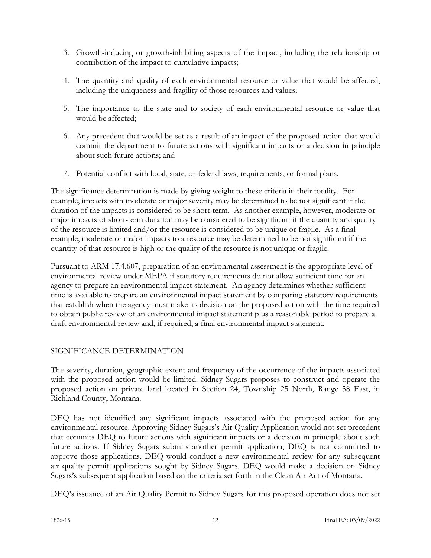- 3. Growth-inducing or growth-inhibiting aspects of the impact, including the relationship or contribution of the impact to cumulative impacts;
- 4. The quantity and quality of each environmental resource or value that would be affected, including the uniqueness and fragility of those resources and values;
- 5. The importance to the state and to society of each environmental resource or value that would be affected;
- 6. Any precedent that would be set as a result of an impact of the proposed action that would commit the department to future actions with significant impacts or a decision in principle about such future actions; and
- 7. Potential conflict with local, state, or federal laws, requirements, or formal plans.

The significance determination is made by giving weight to these criteria in their totality. For example, impacts with moderate or major severity may be determined to be not significant if the duration of the impacts is considered to be short-term. As another example, however, moderate or major impacts of short-term duration may be considered to be significant if the quantity and quality of the resource is limited and/or the resource is considered to be unique or fragile. As a final example, moderate or major impacts to a resource may be determined to be not significant if the quantity of that resource is high or the quality of the resource is not unique or fragile.

Pursuant to ARM 17.4.607, preparation of an environmental assessment is the appropriate level of environmental review under MEPA if statutory requirements do not allow sufficient time for an agency to prepare an environmental impact statement. An agency determines whether sufficient time is available to prepare an environmental impact statement by comparing statutory requirements that establish when the agency must make its decision on the proposed action with the time required to obtain public review of an environmental impact statement plus a reasonable period to prepare a draft environmental review and, if required, a final environmental impact statement.

# SIGNIFICANCE DETERMINATION

The severity, duration, geographic extent and frequency of the occurrence of the impacts associated with the proposed action would be limited. Sidney Sugars proposes to construct and operate the proposed action on private land located in Section 24, Township 25 North, Range 58 East, in Richland County**,** Montana.

DEQ has not identified any significant impacts associated with the proposed action for any environmental resource. Approving Sidney Sugars's Air Quality Application would not set precedent that commits DEQ to future actions with significant impacts or a decision in principle about such future actions. If Sidney Sugars submits another permit application, DEQ is not committed to approve those applications. DEQ would conduct a new environmental review for any subsequent air quality permit applications sought by Sidney Sugars. DEQ would make a decision on Sidney Sugars's subsequent application based on the criteria set forth in the Clean Air Act of Montana.

DEQ's issuance of an Air Quality Permit to Sidney Sugars for this proposed operation does not set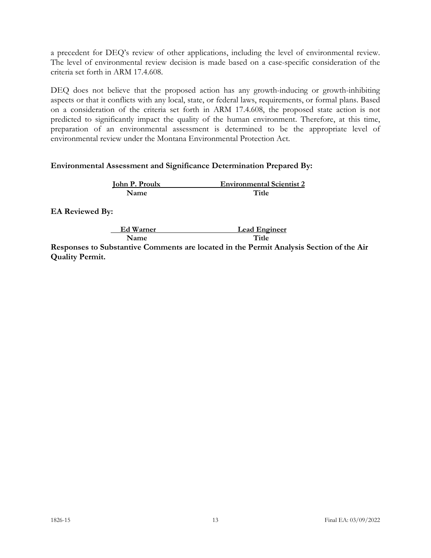a precedent for DEQ's review of other applications, including the level of environmental review. The level of environmental review decision is made based on a case-specific consideration of the criteria set forth in ARM 17.4.608.

DEQ does not believe that the proposed action has any growth-inducing or growth-inhibiting aspects or that it conflicts with any local, state, or federal laws, requirements, or formal plans. Based on a consideration of the criteria set forth in ARM 17.4.608, the proposed state action is not predicted to significantly impact the quality of the human environment. Therefore, at this time, preparation of an environmental assessment is determined to be the appropriate level of environmental review under the Montana Environmental Protection Act.

#### **Environmental Assessment and Significance Determination Prepared By:**

| <b>John P. Proulx</b> | <b>Environmental Scientist 2</b> |
|-----------------------|----------------------------------|
| Name                  | Title                            |

**EA Reviewed By:**

 **Ed Warner Lead Engineer Name** Title

**Responses to Substantive Comments are located in the Permit Analysis Section of the Air Quality Permit.**